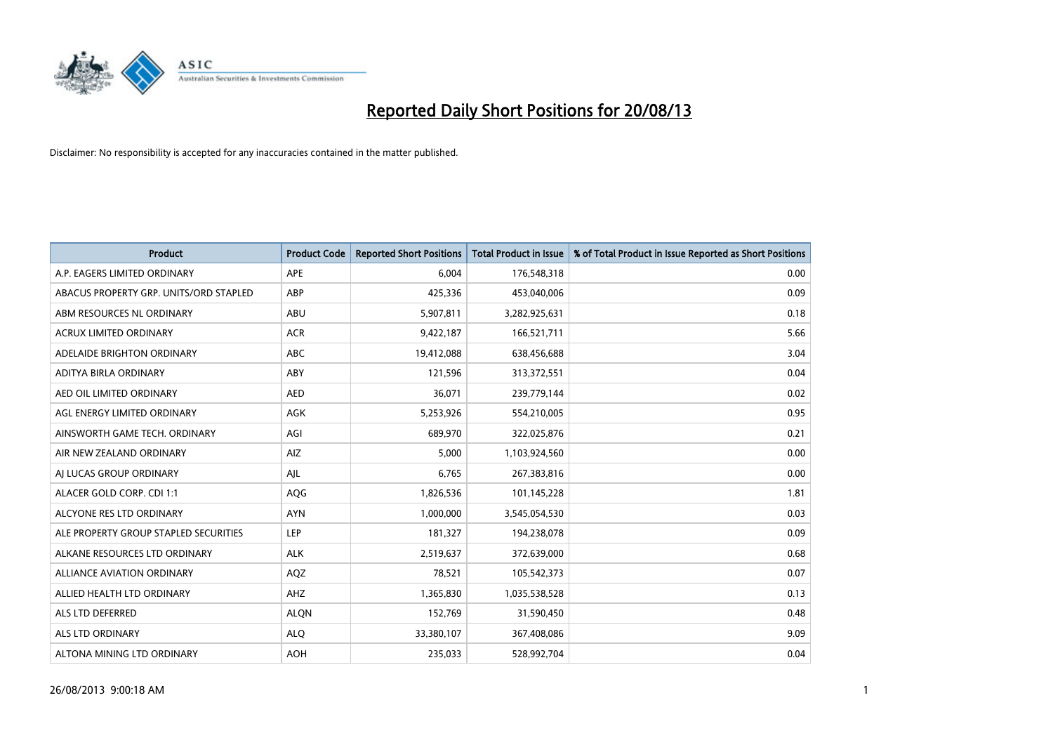

| <b>Product</b>                         | <b>Product Code</b> | <b>Reported Short Positions</b> | <b>Total Product in Issue</b> | % of Total Product in Issue Reported as Short Positions |
|----------------------------------------|---------------------|---------------------------------|-------------------------------|---------------------------------------------------------|
| A.P. EAGERS LIMITED ORDINARY           | APE                 | 6,004                           | 176,548,318                   | 0.00                                                    |
| ABACUS PROPERTY GRP. UNITS/ORD STAPLED | ABP                 | 425,336                         | 453,040,006                   | 0.09                                                    |
| ABM RESOURCES NL ORDINARY              | ABU                 | 5,907,811                       | 3,282,925,631                 | 0.18                                                    |
| ACRUX LIMITED ORDINARY                 | <b>ACR</b>          | 9,422,187                       | 166,521,711                   | 5.66                                                    |
| ADELAIDE BRIGHTON ORDINARY             | <b>ABC</b>          | 19,412,088                      | 638,456,688                   | 3.04                                                    |
| ADITYA BIRLA ORDINARY                  | ABY                 | 121,596                         | 313,372,551                   | 0.04                                                    |
| AED OIL LIMITED ORDINARY               | <b>AED</b>          | 36,071                          | 239,779,144                   | 0.02                                                    |
| AGL ENERGY LIMITED ORDINARY            | AGK                 | 5,253,926                       | 554,210,005                   | 0.95                                                    |
| AINSWORTH GAME TECH. ORDINARY          | AGI                 | 689,970                         | 322,025,876                   | 0.21                                                    |
| AIR NEW ZEALAND ORDINARY               | <b>AIZ</b>          | 5,000                           | 1,103,924,560                 | 0.00                                                    |
| AI LUCAS GROUP ORDINARY                | AJL                 | 6,765                           | 267,383,816                   | 0.00                                                    |
| ALACER GOLD CORP. CDI 1:1              | AQG                 | 1,826,536                       | 101,145,228                   | 1.81                                                    |
| ALCYONE RES LTD ORDINARY               | <b>AYN</b>          | 1,000,000                       | 3,545,054,530                 | 0.03                                                    |
| ALE PROPERTY GROUP STAPLED SECURITIES  | LEP                 | 181,327                         | 194,238,078                   | 0.09                                                    |
| ALKANE RESOURCES LTD ORDINARY          | <b>ALK</b>          | 2,519,637                       | 372,639,000                   | 0.68                                                    |
| ALLIANCE AVIATION ORDINARY             | AQZ                 | 78,521                          | 105,542,373                   | 0.07                                                    |
| ALLIED HEALTH LTD ORDINARY             | AHZ                 | 1,365,830                       | 1,035,538,528                 | 0.13                                                    |
| ALS LTD DEFERRED                       | <b>ALQN</b>         | 152,769                         | 31,590,450                    | 0.48                                                    |
| ALS LTD ORDINARY                       | <b>ALO</b>          | 33,380,107                      | 367,408,086                   | 9.09                                                    |
| ALTONA MINING LTD ORDINARY             | <b>AOH</b>          | 235,033                         | 528,992,704                   | 0.04                                                    |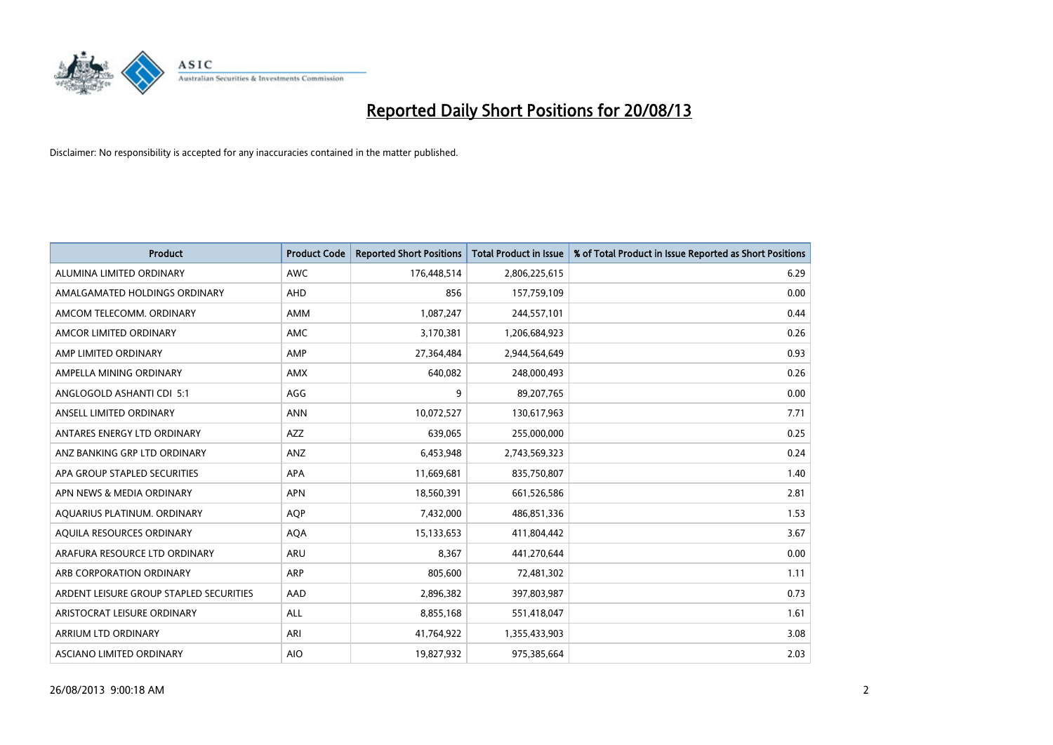

| <b>Product</b>                          | <b>Product Code</b> | <b>Reported Short Positions</b> | <b>Total Product in Issue</b> | % of Total Product in Issue Reported as Short Positions |
|-----------------------------------------|---------------------|---------------------------------|-------------------------------|---------------------------------------------------------|
| ALUMINA LIMITED ORDINARY                | <b>AWC</b>          | 176,448,514                     | 2,806,225,615                 | 6.29                                                    |
| AMALGAMATED HOLDINGS ORDINARY           | AHD                 | 856                             | 157,759,109                   | 0.00                                                    |
| AMCOM TELECOMM, ORDINARY                | AMM                 | 1,087,247                       | 244,557,101                   | 0.44                                                    |
| AMCOR LIMITED ORDINARY                  | AMC                 | 3,170,381                       | 1,206,684,923                 | 0.26                                                    |
| AMP LIMITED ORDINARY                    | AMP                 | 27,364,484                      | 2,944,564,649                 | 0.93                                                    |
| AMPELLA MINING ORDINARY                 | <b>AMX</b>          | 640,082                         | 248,000,493                   | 0.26                                                    |
| ANGLOGOLD ASHANTI CDI 5:1               | AGG                 | 9                               | 89,207,765                    | 0.00                                                    |
| ANSELL LIMITED ORDINARY                 | <b>ANN</b>          | 10,072,527                      | 130,617,963                   | 7.71                                                    |
| ANTARES ENERGY LTD ORDINARY             | <b>AZZ</b>          | 639,065                         | 255,000,000                   | 0.25                                                    |
| ANZ BANKING GRP LTD ORDINARY            | ANZ                 | 6,453,948                       | 2,743,569,323                 | 0.24                                                    |
| APA GROUP STAPLED SECURITIES            | APA                 | 11,669,681                      | 835,750,807                   | 1.40                                                    |
| APN NEWS & MEDIA ORDINARY               | <b>APN</b>          | 18,560,391                      | 661,526,586                   | 2.81                                                    |
| AQUARIUS PLATINUM. ORDINARY             | <b>AOP</b>          | 7,432,000                       | 486,851,336                   | 1.53                                                    |
| AQUILA RESOURCES ORDINARY               | <b>AQA</b>          | 15,133,653                      | 411,804,442                   | 3.67                                                    |
| ARAFURA RESOURCE LTD ORDINARY           | <b>ARU</b>          | 8,367                           | 441,270,644                   | 0.00                                                    |
| ARB CORPORATION ORDINARY                | ARP                 | 805,600                         | 72,481,302                    | 1.11                                                    |
| ARDENT LEISURE GROUP STAPLED SECURITIES | AAD                 | 2,896,382                       | 397,803,987                   | 0.73                                                    |
| ARISTOCRAT LEISURE ORDINARY             | ALL                 | 8,855,168                       | 551,418,047                   | 1.61                                                    |
| ARRIUM LTD ORDINARY                     | ARI                 | 41,764,922                      | 1,355,433,903                 | 3.08                                                    |
| ASCIANO LIMITED ORDINARY                | <b>AIO</b>          | 19,827,932                      | 975,385,664                   | 2.03                                                    |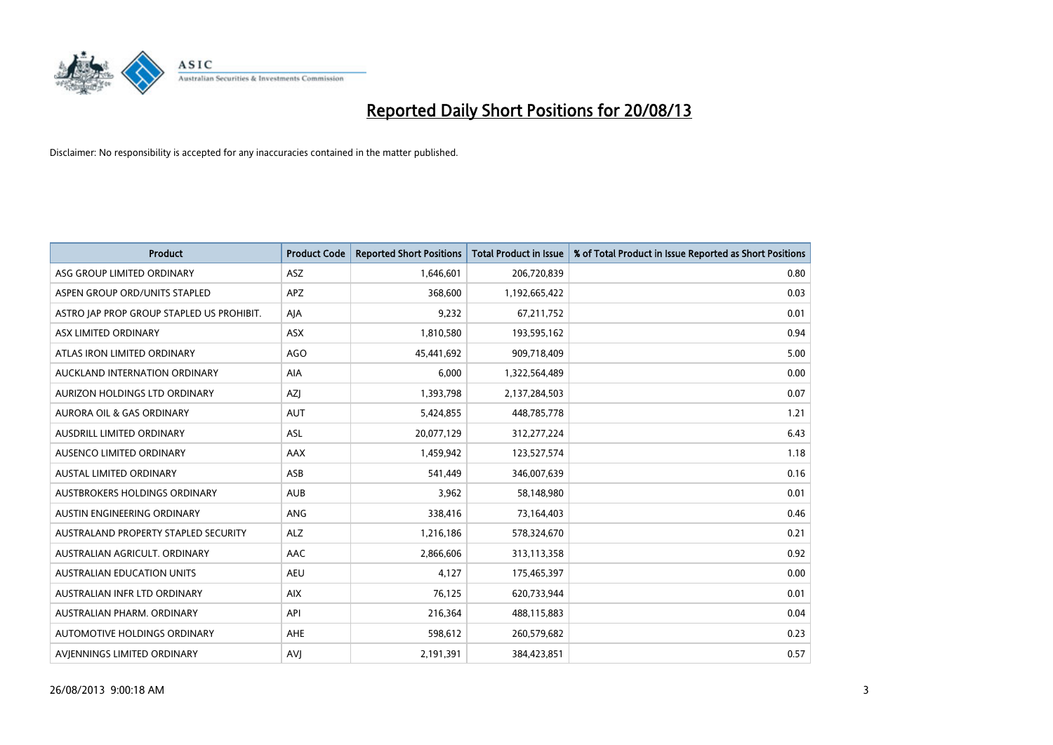

| <b>Product</b>                            | <b>Product Code</b> | <b>Reported Short Positions</b> | <b>Total Product in Issue</b> | % of Total Product in Issue Reported as Short Positions |
|-------------------------------------------|---------------------|---------------------------------|-------------------------------|---------------------------------------------------------|
| ASG GROUP LIMITED ORDINARY                | <b>ASZ</b>          | 1,646,601                       | 206,720,839                   | 0.80                                                    |
| ASPEN GROUP ORD/UNITS STAPLED             | <b>APZ</b>          | 368,600                         | 1,192,665,422                 | 0.03                                                    |
| ASTRO JAP PROP GROUP STAPLED US PROHIBIT. | AJA                 | 9,232                           | 67,211,752                    | 0.01                                                    |
| ASX LIMITED ORDINARY                      | ASX                 | 1,810,580                       | 193,595,162                   | 0.94                                                    |
| ATLAS IRON LIMITED ORDINARY               | <b>AGO</b>          | 45,441,692                      | 909,718,409                   | 5.00                                                    |
| AUCKLAND INTERNATION ORDINARY             | <b>AIA</b>          | 6,000                           | 1,322,564,489                 | 0.00                                                    |
| AURIZON HOLDINGS LTD ORDINARY             | AZJ                 | 1,393,798                       | 2,137,284,503                 | 0.07                                                    |
| AURORA OIL & GAS ORDINARY                 | <b>AUT</b>          | 5,424,855                       | 448,785,778                   | 1.21                                                    |
| AUSDRILL LIMITED ORDINARY                 | ASL                 | 20,077,129                      | 312,277,224                   | 6.43                                                    |
| AUSENCO LIMITED ORDINARY                  | <b>AAX</b>          | 1,459,942                       | 123,527,574                   | 1.18                                                    |
| AUSTAL LIMITED ORDINARY                   | ASB                 | 541,449                         | 346,007,639                   | 0.16                                                    |
| <b>AUSTBROKERS HOLDINGS ORDINARY</b>      | <b>AUB</b>          | 3,962                           | 58,148,980                    | 0.01                                                    |
| AUSTIN ENGINEERING ORDINARY               | ANG                 | 338,416                         | 73,164,403                    | 0.46                                                    |
| AUSTRALAND PROPERTY STAPLED SECURITY      | <b>ALZ</b>          | 1,216,186                       | 578,324,670                   | 0.21                                                    |
| AUSTRALIAN AGRICULT, ORDINARY             | <b>AAC</b>          | 2,866,606                       | 313,113,358                   | 0.92                                                    |
| AUSTRALIAN EDUCATION UNITS                | <b>AEU</b>          | 4,127                           | 175,465,397                   | 0.00                                                    |
| AUSTRALIAN INFR LTD ORDINARY              | <b>AIX</b>          | 76,125                          | 620,733,944                   | 0.01                                                    |
| AUSTRALIAN PHARM. ORDINARY                | API                 | 216,364                         | 488,115,883                   | 0.04                                                    |
| AUTOMOTIVE HOLDINGS ORDINARY              | <b>AHE</b>          | 598,612                         | 260,579,682                   | 0.23                                                    |
| AVIENNINGS LIMITED ORDINARY               | <b>AVJ</b>          | 2,191,391                       | 384,423,851                   | 0.57                                                    |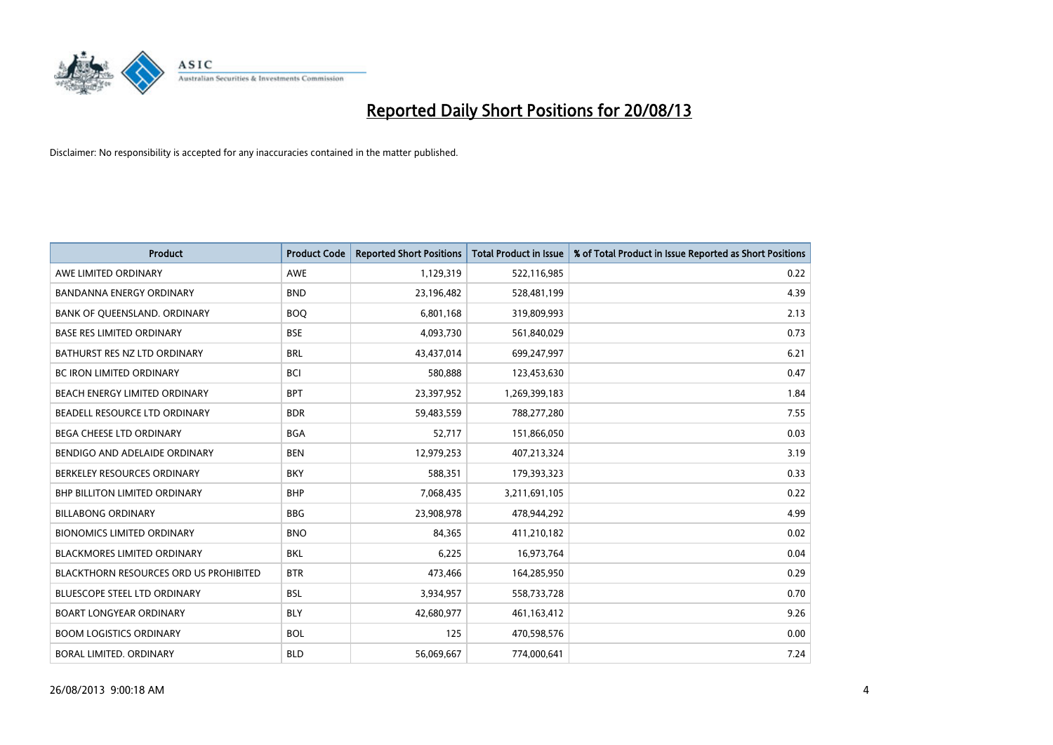

| <b>Product</b>                         | <b>Product Code</b> | <b>Reported Short Positions</b> | <b>Total Product in Issue</b> | % of Total Product in Issue Reported as Short Positions |
|----------------------------------------|---------------------|---------------------------------|-------------------------------|---------------------------------------------------------|
| AWE LIMITED ORDINARY                   | <b>AWE</b>          | 1,129,319                       | 522,116,985                   | 0.22                                                    |
| BANDANNA ENERGY ORDINARY               | <b>BND</b>          | 23,196,482                      | 528,481,199                   | 4.39                                                    |
| BANK OF QUEENSLAND. ORDINARY           | <b>BOQ</b>          | 6,801,168                       | 319,809,993                   | 2.13                                                    |
| <b>BASE RES LIMITED ORDINARY</b>       | <b>BSE</b>          | 4,093,730                       | 561,840,029                   | 0.73                                                    |
| BATHURST RES NZ LTD ORDINARY           | <b>BRL</b>          | 43,437,014                      | 699,247,997                   | 6.21                                                    |
| <b>BC IRON LIMITED ORDINARY</b>        | <b>BCI</b>          | 580,888                         | 123,453,630                   | 0.47                                                    |
| BEACH ENERGY LIMITED ORDINARY          | <b>BPT</b>          | 23,397,952                      | 1,269,399,183                 | 1.84                                                    |
| BEADELL RESOURCE LTD ORDINARY          | <b>BDR</b>          | 59,483,559                      | 788,277,280                   | 7.55                                                    |
| <b>BEGA CHEESE LTD ORDINARY</b>        | <b>BGA</b>          | 52,717                          | 151,866,050                   | 0.03                                                    |
| BENDIGO AND ADELAIDE ORDINARY          | <b>BEN</b>          | 12,979,253                      | 407,213,324                   | 3.19                                                    |
| BERKELEY RESOURCES ORDINARY            | <b>BKY</b>          | 588,351                         | 179,393,323                   | 0.33                                                    |
| <b>BHP BILLITON LIMITED ORDINARY</b>   | <b>BHP</b>          | 7,068,435                       | 3,211,691,105                 | 0.22                                                    |
| <b>BILLABONG ORDINARY</b>              | <b>BBG</b>          | 23,908,978                      | 478,944,292                   | 4.99                                                    |
| <b>BIONOMICS LIMITED ORDINARY</b>      | <b>BNO</b>          | 84,365                          | 411,210,182                   | 0.02                                                    |
| <b>BLACKMORES LIMITED ORDINARY</b>     | <b>BKL</b>          | 6,225                           | 16,973,764                    | 0.04                                                    |
| BLACKTHORN RESOURCES ORD US PROHIBITED | <b>BTR</b>          | 473,466                         | 164,285,950                   | 0.29                                                    |
| BLUESCOPE STEEL LTD ORDINARY           | <b>BSL</b>          | 3,934,957                       | 558,733,728                   | 0.70                                                    |
| <b>BOART LONGYEAR ORDINARY</b>         | <b>BLY</b>          | 42,680,977                      | 461,163,412                   | 9.26                                                    |
| <b>BOOM LOGISTICS ORDINARY</b>         | <b>BOL</b>          | 125                             | 470,598,576                   | 0.00                                                    |
| BORAL LIMITED. ORDINARY                | <b>BLD</b>          | 56,069,667                      | 774,000,641                   | 7.24                                                    |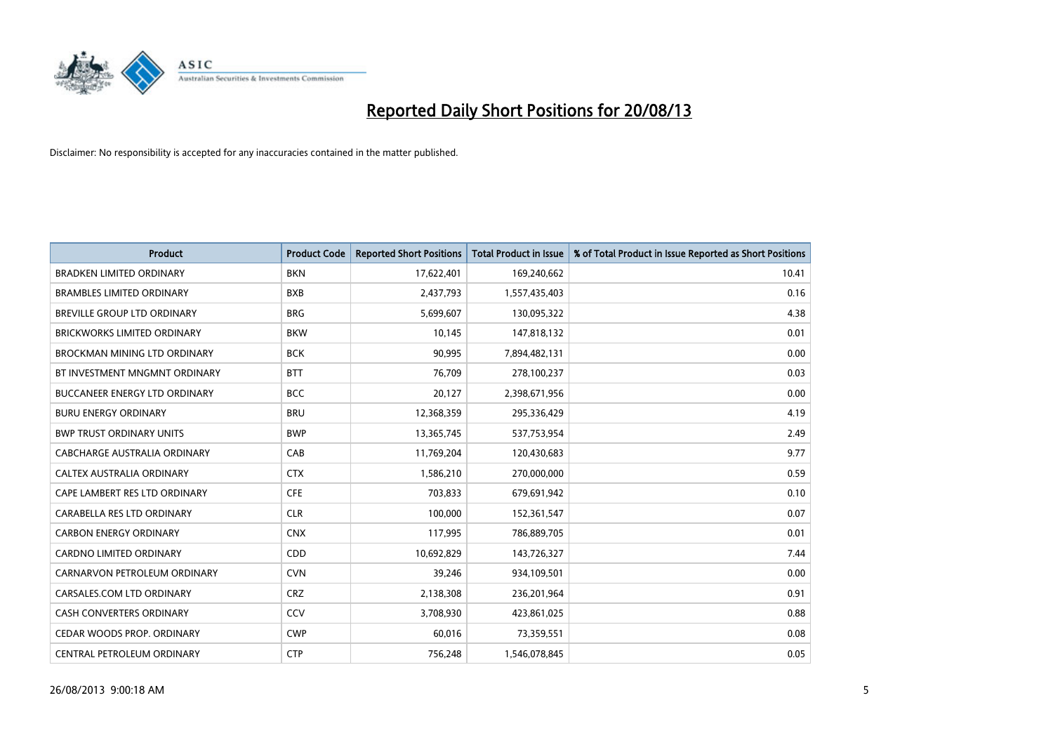

| <b>Product</b>                       | <b>Product Code</b> | <b>Reported Short Positions</b> | <b>Total Product in Issue</b> | % of Total Product in Issue Reported as Short Positions |
|--------------------------------------|---------------------|---------------------------------|-------------------------------|---------------------------------------------------------|
| <b>BRADKEN LIMITED ORDINARY</b>      | <b>BKN</b>          | 17,622,401                      | 169,240,662                   | 10.41                                                   |
| <b>BRAMBLES LIMITED ORDINARY</b>     | <b>BXB</b>          | 2,437,793                       | 1,557,435,403                 | 0.16                                                    |
| BREVILLE GROUP LTD ORDINARY          | <b>BRG</b>          | 5,699,607                       | 130,095,322                   | 4.38                                                    |
| <b>BRICKWORKS LIMITED ORDINARY</b>   | <b>BKW</b>          | 10,145                          | 147,818,132                   | 0.01                                                    |
| BROCKMAN MINING LTD ORDINARY         | <b>BCK</b>          | 90,995                          | 7,894,482,131                 | 0.00                                                    |
| BT INVESTMENT MNGMNT ORDINARY        | <b>BTT</b>          | 76,709                          | 278,100,237                   | 0.03                                                    |
| <b>BUCCANEER ENERGY LTD ORDINARY</b> | <b>BCC</b>          | 20,127                          | 2,398,671,956                 | 0.00                                                    |
| <b>BURU ENERGY ORDINARY</b>          | <b>BRU</b>          | 12,368,359                      | 295,336,429                   | 4.19                                                    |
| <b>BWP TRUST ORDINARY UNITS</b>      | <b>BWP</b>          | 13,365,745                      | 537,753,954                   | 2.49                                                    |
| CABCHARGE AUSTRALIA ORDINARY         | CAB                 | 11,769,204                      | 120,430,683                   | 9.77                                                    |
| CALTEX AUSTRALIA ORDINARY            | <b>CTX</b>          | 1,586,210                       | 270,000,000                   | 0.59                                                    |
| CAPE LAMBERT RES LTD ORDINARY        | <b>CFE</b>          | 703,833                         | 679,691,942                   | 0.10                                                    |
| CARABELLA RES LTD ORDINARY           | <b>CLR</b>          | 100,000                         | 152,361,547                   | 0.07                                                    |
| <b>CARBON ENERGY ORDINARY</b>        | <b>CNX</b>          | 117,995                         | 786,889,705                   | 0.01                                                    |
| <b>CARDNO LIMITED ORDINARY</b>       | CDD                 | 10,692,829                      | 143,726,327                   | 7.44                                                    |
| CARNARVON PETROLEUM ORDINARY         | <b>CVN</b>          | 39,246                          | 934,109,501                   | 0.00                                                    |
| CARSALES.COM LTD ORDINARY            | <b>CRZ</b>          | 2,138,308                       | 236,201,964                   | 0.91                                                    |
| CASH CONVERTERS ORDINARY             | CCV                 | 3,708,930                       | 423,861,025                   | 0.88                                                    |
| CEDAR WOODS PROP. ORDINARY           | <b>CWP</b>          | 60,016                          | 73,359,551                    | 0.08                                                    |
| CENTRAL PETROLEUM ORDINARY           | <b>CTP</b>          | 756,248                         | 1,546,078,845                 | 0.05                                                    |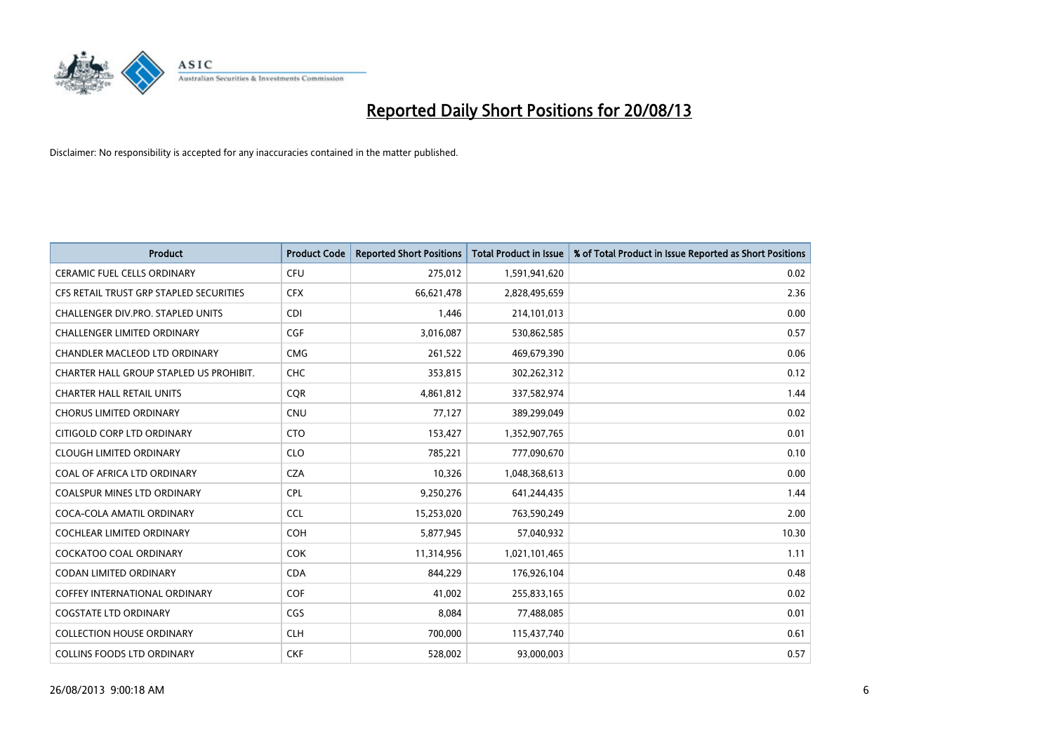

| <b>Product</b>                          | <b>Product Code</b> | <b>Reported Short Positions</b> | <b>Total Product in Issue</b> | % of Total Product in Issue Reported as Short Positions |
|-----------------------------------------|---------------------|---------------------------------|-------------------------------|---------------------------------------------------------|
| <b>CERAMIC FUEL CELLS ORDINARY</b>      | <b>CFU</b>          | 275,012                         | 1,591,941,620                 | 0.02                                                    |
| CFS RETAIL TRUST GRP STAPLED SECURITIES | <b>CFX</b>          | 66,621,478                      | 2,828,495,659                 | 2.36                                                    |
| CHALLENGER DIV.PRO. STAPLED UNITS       | <b>CDI</b>          | 1,446                           | 214,101,013                   | 0.00                                                    |
| <b>CHALLENGER LIMITED ORDINARY</b>      | <b>CGF</b>          | 3,016,087                       | 530,862,585                   | 0.57                                                    |
| CHANDLER MACLEOD LTD ORDINARY           | <b>CMG</b>          | 261,522                         | 469,679,390                   | 0.06                                                    |
| CHARTER HALL GROUP STAPLED US PROHIBIT. | <b>CHC</b>          | 353,815                         | 302,262,312                   | 0.12                                                    |
| <b>CHARTER HALL RETAIL UNITS</b>        | <b>CQR</b>          | 4,861,812                       | 337,582,974                   | 1.44                                                    |
| <b>CHORUS LIMITED ORDINARY</b>          | <b>CNU</b>          | 77,127                          | 389,299,049                   | 0.02                                                    |
| CITIGOLD CORP LTD ORDINARY              | <b>CTO</b>          | 153,427                         | 1,352,907,765                 | 0.01                                                    |
| <b>CLOUGH LIMITED ORDINARY</b>          | <b>CLO</b>          | 785,221                         | 777,090,670                   | 0.10                                                    |
| COAL OF AFRICA LTD ORDINARY             | <b>CZA</b>          | 10,326                          | 1,048,368,613                 | 0.00                                                    |
| COALSPUR MINES LTD ORDINARY             | <b>CPL</b>          | 9,250,276                       | 641,244,435                   | 1.44                                                    |
| COCA-COLA AMATIL ORDINARY               | <b>CCL</b>          | 15,253,020                      | 763,590,249                   | 2.00                                                    |
| <b>COCHLEAR LIMITED ORDINARY</b>        | <b>COH</b>          | 5,877,945                       | 57,040,932                    | 10.30                                                   |
| <b>COCKATOO COAL ORDINARY</b>           | COK                 | 11,314,956                      | 1,021,101,465                 | 1.11                                                    |
| CODAN LIMITED ORDINARY                  | <b>CDA</b>          | 844,229                         | 176,926,104                   | 0.48                                                    |
| COFFEY INTERNATIONAL ORDINARY           | <b>COF</b>          | 41,002                          | 255,833,165                   | 0.02                                                    |
| <b>COGSTATE LTD ORDINARY</b>            | <b>CGS</b>          | 8,084                           | 77,488,085                    | 0.01                                                    |
| <b>COLLECTION HOUSE ORDINARY</b>        | <b>CLH</b>          | 700,000                         | 115,437,740                   | 0.61                                                    |
| COLLINS FOODS LTD ORDINARY              | <b>CKF</b>          | 528,002                         | 93,000,003                    | 0.57                                                    |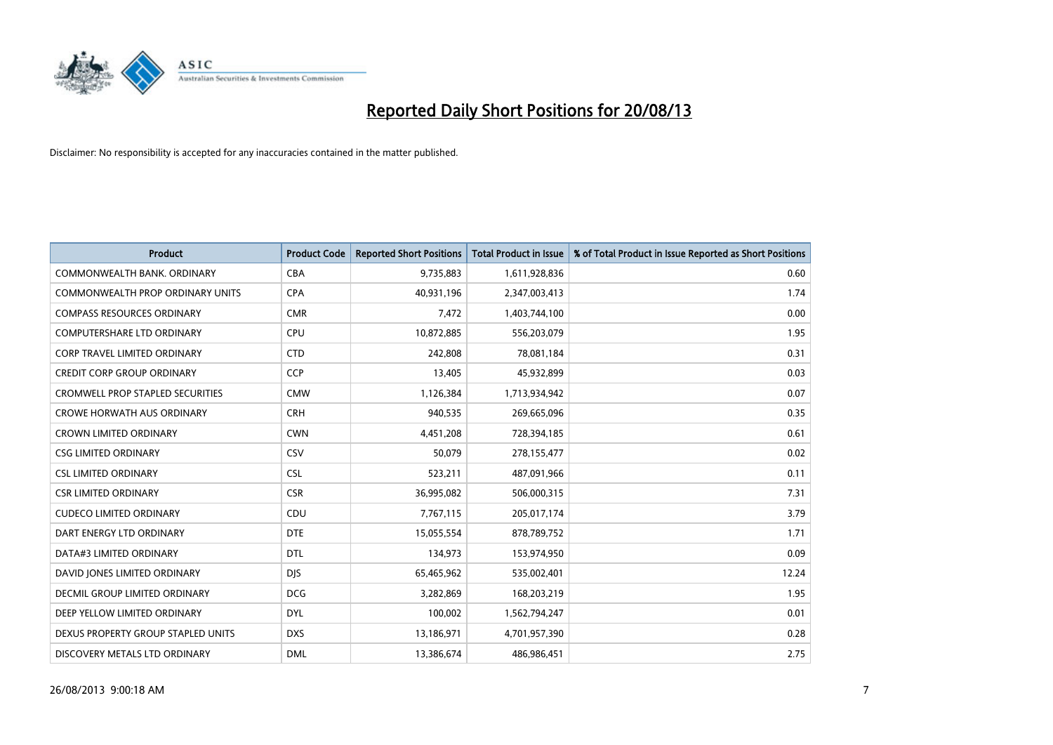

| <b>Product</b>                      | <b>Product Code</b> | <b>Reported Short Positions</b> | <b>Total Product in Issue</b> | % of Total Product in Issue Reported as Short Positions |
|-------------------------------------|---------------------|---------------------------------|-------------------------------|---------------------------------------------------------|
| COMMONWEALTH BANK, ORDINARY         | <b>CBA</b>          | 9,735,883                       | 1,611,928,836                 | 0.60                                                    |
| COMMONWEALTH PROP ORDINARY UNITS    | <b>CPA</b>          | 40,931,196                      | 2,347,003,413                 | 1.74                                                    |
| <b>COMPASS RESOURCES ORDINARY</b>   | <b>CMR</b>          | 7,472                           | 1,403,744,100                 | 0.00                                                    |
| <b>COMPUTERSHARE LTD ORDINARY</b>   | <b>CPU</b>          | 10,872,885                      | 556,203,079                   | 1.95                                                    |
| <b>CORP TRAVEL LIMITED ORDINARY</b> | <b>CTD</b>          | 242,808                         | 78,081,184                    | 0.31                                                    |
| <b>CREDIT CORP GROUP ORDINARY</b>   | <b>CCP</b>          | 13,405                          | 45,932,899                    | 0.03                                                    |
| CROMWELL PROP STAPLED SECURITIES    | <b>CMW</b>          | 1,126,384                       | 1,713,934,942                 | 0.07                                                    |
| <b>CROWE HORWATH AUS ORDINARY</b>   | <b>CRH</b>          | 940,535                         | 269,665,096                   | 0.35                                                    |
| <b>CROWN LIMITED ORDINARY</b>       | <b>CWN</b>          | 4,451,208                       | 728,394,185                   | 0.61                                                    |
| <b>CSG LIMITED ORDINARY</b>         | CSV                 | 50,079                          | 278,155,477                   | 0.02                                                    |
| <b>CSL LIMITED ORDINARY</b>         | <b>CSL</b>          | 523,211                         | 487,091,966                   | 0.11                                                    |
| <b>CSR LIMITED ORDINARY</b>         | <b>CSR</b>          | 36,995,082                      | 506,000,315                   | 7.31                                                    |
| <b>CUDECO LIMITED ORDINARY</b>      | CDU                 | 7,767,115                       | 205,017,174                   | 3.79                                                    |
| DART ENERGY LTD ORDINARY            | <b>DTE</b>          | 15,055,554                      | 878,789,752                   | 1.71                                                    |
| DATA#3 LIMITED ORDINARY             | <b>DTL</b>          | 134,973                         | 153,974,950                   | 0.09                                                    |
| DAVID JONES LIMITED ORDINARY        | <b>DIS</b>          | 65,465,962                      | 535,002,401                   | 12.24                                                   |
| DECMIL GROUP LIMITED ORDINARY       | <b>DCG</b>          | 3,282,869                       | 168,203,219                   | 1.95                                                    |
| DEEP YELLOW LIMITED ORDINARY        | <b>DYL</b>          | 100,002                         | 1,562,794,247                 | 0.01                                                    |
| DEXUS PROPERTY GROUP STAPLED UNITS  | <b>DXS</b>          | 13,186,971                      | 4,701,957,390                 | 0.28                                                    |
| DISCOVERY METALS LTD ORDINARY       | <b>DML</b>          | 13,386,674                      | 486,986,451                   | 2.75                                                    |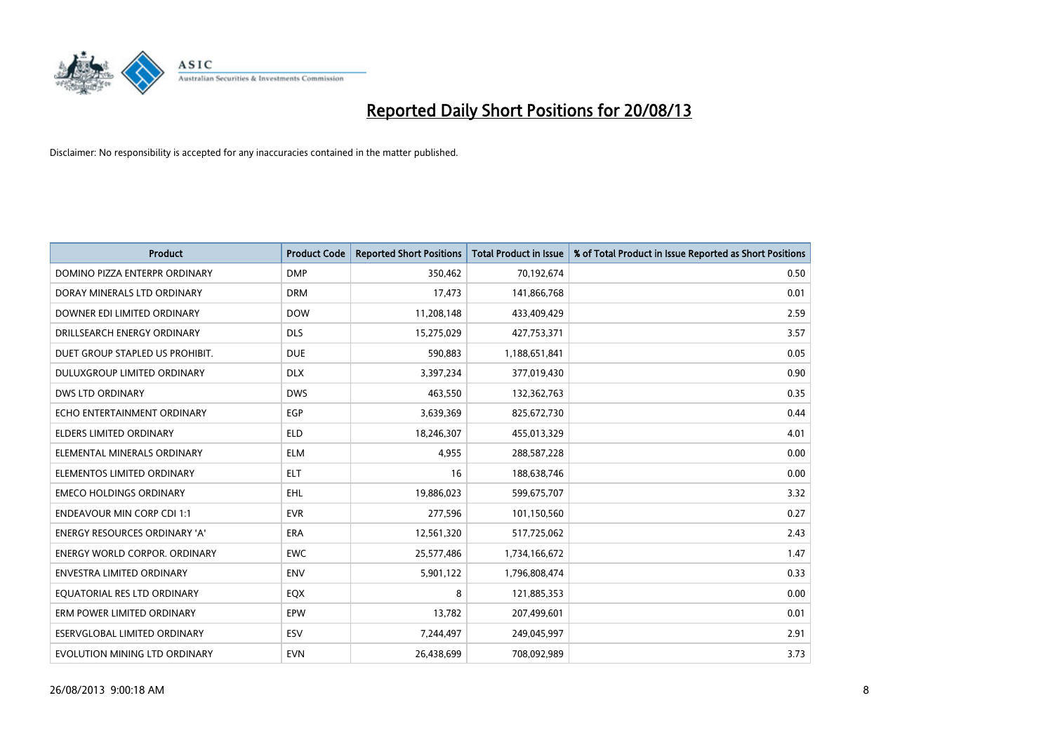

| <b>Product</b>                       | <b>Product Code</b> | <b>Reported Short Positions</b> | <b>Total Product in Issue</b> | % of Total Product in Issue Reported as Short Positions |
|--------------------------------------|---------------------|---------------------------------|-------------------------------|---------------------------------------------------------|
| DOMINO PIZZA ENTERPR ORDINARY        | <b>DMP</b>          | 350,462                         | 70,192,674                    | 0.50                                                    |
| DORAY MINERALS LTD ORDINARY          | <b>DRM</b>          | 17,473                          | 141,866,768                   | 0.01                                                    |
| DOWNER EDI LIMITED ORDINARY          | <b>DOW</b>          | 11,208,148                      | 433,409,429                   | 2.59                                                    |
| DRILLSEARCH ENERGY ORDINARY          | <b>DLS</b>          | 15,275,029                      | 427,753,371                   | 3.57                                                    |
| DUET GROUP STAPLED US PROHIBIT.      | <b>DUE</b>          | 590,883                         | 1,188,651,841                 | 0.05                                                    |
| DULUXGROUP LIMITED ORDINARY          | <b>DLX</b>          | 3,397,234                       | 377,019,430                   | 0.90                                                    |
| DWS LTD ORDINARY                     | <b>DWS</b>          | 463,550                         | 132,362,763                   | 0.35                                                    |
| ECHO ENTERTAINMENT ORDINARY          | <b>EGP</b>          | 3,639,369                       | 825,672,730                   | 0.44                                                    |
| <b>ELDERS LIMITED ORDINARY</b>       | <b>ELD</b>          | 18,246,307                      | 455,013,329                   | 4.01                                                    |
| ELEMENTAL MINERALS ORDINARY          | <b>ELM</b>          | 4,955                           | 288,587,228                   | 0.00                                                    |
| ELEMENTOS LIMITED ORDINARY           | <b>ELT</b>          | 16                              | 188,638,746                   | 0.00                                                    |
| <b>EMECO HOLDINGS ORDINARY</b>       | <b>EHL</b>          | 19,886,023                      | 599,675,707                   | 3.32                                                    |
| <b>ENDEAVOUR MIN CORP CDI 1:1</b>    | <b>EVR</b>          | 277,596                         | 101,150,560                   | 0.27                                                    |
| <b>ENERGY RESOURCES ORDINARY 'A'</b> | <b>ERA</b>          | 12,561,320                      | 517,725,062                   | 2.43                                                    |
| <b>ENERGY WORLD CORPOR, ORDINARY</b> | <b>EWC</b>          | 25,577,486                      | 1,734,166,672                 | 1.47                                                    |
| <b>ENVESTRA LIMITED ORDINARY</b>     | <b>ENV</b>          | 5,901,122                       | 1,796,808,474                 | 0.33                                                    |
| EQUATORIAL RES LTD ORDINARY          | EQX                 | 8                               | 121,885,353                   | 0.00                                                    |
| ERM POWER LIMITED ORDINARY           | EPW                 | 13,782                          | 207,499,601                   | 0.01                                                    |
| <b>ESERVGLOBAL LIMITED ORDINARY</b>  | ESV                 | 7,244,497                       | 249,045,997                   | 2.91                                                    |
| EVOLUTION MINING LTD ORDINARY        | <b>EVN</b>          | 26,438,699                      | 708,092,989                   | 3.73                                                    |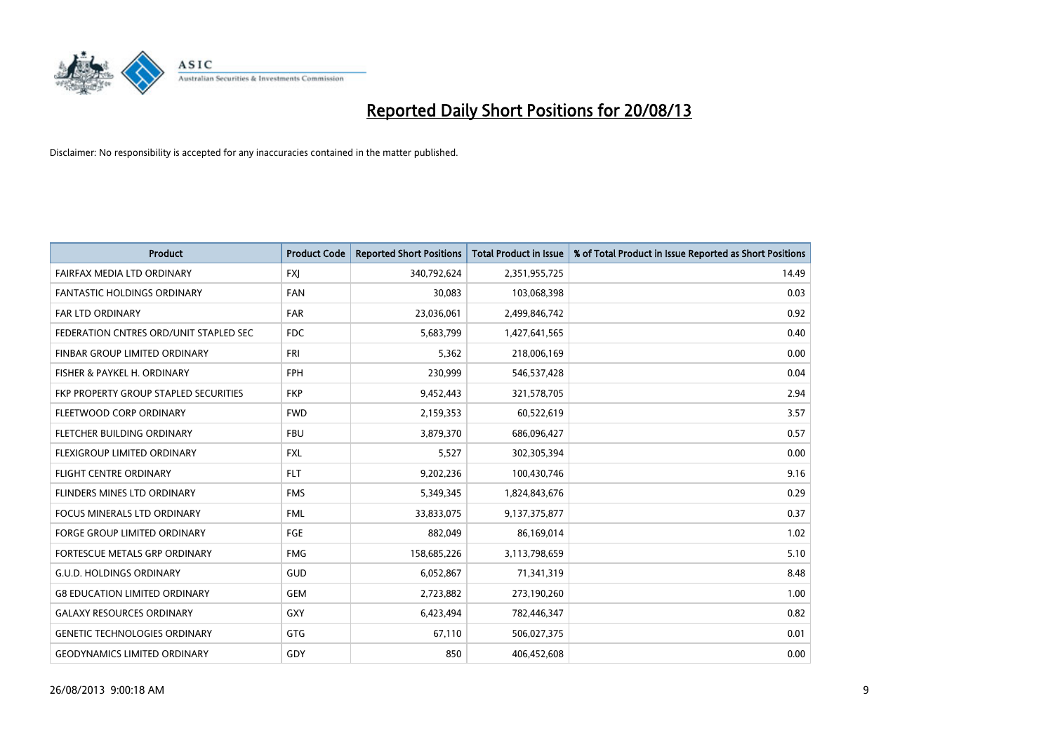

| <b>Product</b>                         | <b>Product Code</b> | <b>Reported Short Positions</b> | <b>Total Product in Issue</b> | % of Total Product in Issue Reported as Short Positions |
|----------------------------------------|---------------------|---------------------------------|-------------------------------|---------------------------------------------------------|
| FAIRFAX MEDIA LTD ORDINARY             | <b>FXJ</b>          | 340,792,624                     | 2,351,955,725                 | 14.49                                                   |
| <b>FANTASTIC HOLDINGS ORDINARY</b>     | <b>FAN</b>          | 30,083                          | 103,068,398                   | 0.03                                                    |
| FAR LTD ORDINARY                       | <b>FAR</b>          | 23,036,061                      | 2,499,846,742                 | 0.92                                                    |
| FEDERATION CNTRES ORD/UNIT STAPLED SEC | <b>FDC</b>          | 5,683,799                       | 1,427,641,565                 | 0.40                                                    |
| FINBAR GROUP LIMITED ORDINARY          | <b>FRI</b>          | 5,362                           | 218,006,169                   | 0.00                                                    |
| FISHER & PAYKEL H. ORDINARY            | <b>FPH</b>          | 230,999                         | 546,537,428                   | 0.04                                                    |
| FKP PROPERTY GROUP STAPLED SECURITIES  | <b>FKP</b>          | 9,452,443                       | 321,578,705                   | 2.94                                                    |
| FLEETWOOD CORP ORDINARY                | <b>FWD</b>          | 2,159,353                       | 60,522,619                    | 3.57                                                    |
| FLETCHER BUILDING ORDINARY             | <b>FBU</b>          | 3,879,370                       | 686,096,427                   | 0.57                                                    |
| FLEXIGROUP LIMITED ORDINARY            | <b>FXL</b>          | 5,527                           | 302,305,394                   | 0.00                                                    |
| <b>FLIGHT CENTRE ORDINARY</b>          | <b>FLT</b>          | 9,202,236                       | 100,430,746                   | 9.16                                                    |
| FLINDERS MINES LTD ORDINARY            | <b>FMS</b>          | 5,349,345                       | 1,824,843,676                 | 0.29                                                    |
| FOCUS MINERALS LTD ORDINARY            | <b>FML</b>          | 33,833,075                      | 9,137,375,877                 | 0.37                                                    |
| <b>FORGE GROUP LIMITED ORDINARY</b>    | FGE                 | 882,049                         | 86,169,014                    | 1.02                                                    |
| FORTESCUE METALS GRP ORDINARY          | <b>FMG</b>          | 158,685,226                     | 3,113,798,659                 | 5.10                                                    |
| <b>G.U.D. HOLDINGS ORDINARY</b>        | <b>GUD</b>          | 6,052,867                       | 71,341,319                    | 8.48                                                    |
| <b>G8 EDUCATION LIMITED ORDINARY</b>   | <b>GEM</b>          | 2,723,882                       | 273,190,260                   | 1.00                                                    |
| <b>GALAXY RESOURCES ORDINARY</b>       | GXY                 | 6,423,494                       | 782,446,347                   | 0.82                                                    |
| <b>GENETIC TECHNOLOGIES ORDINARY</b>   | GTG                 | 67,110                          | 506,027,375                   | 0.01                                                    |
| <b>GEODYNAMICS LIMITED ORDINARY</b>    | GDY                 | 850                             | 406,452,608                   | 0.00                                                    |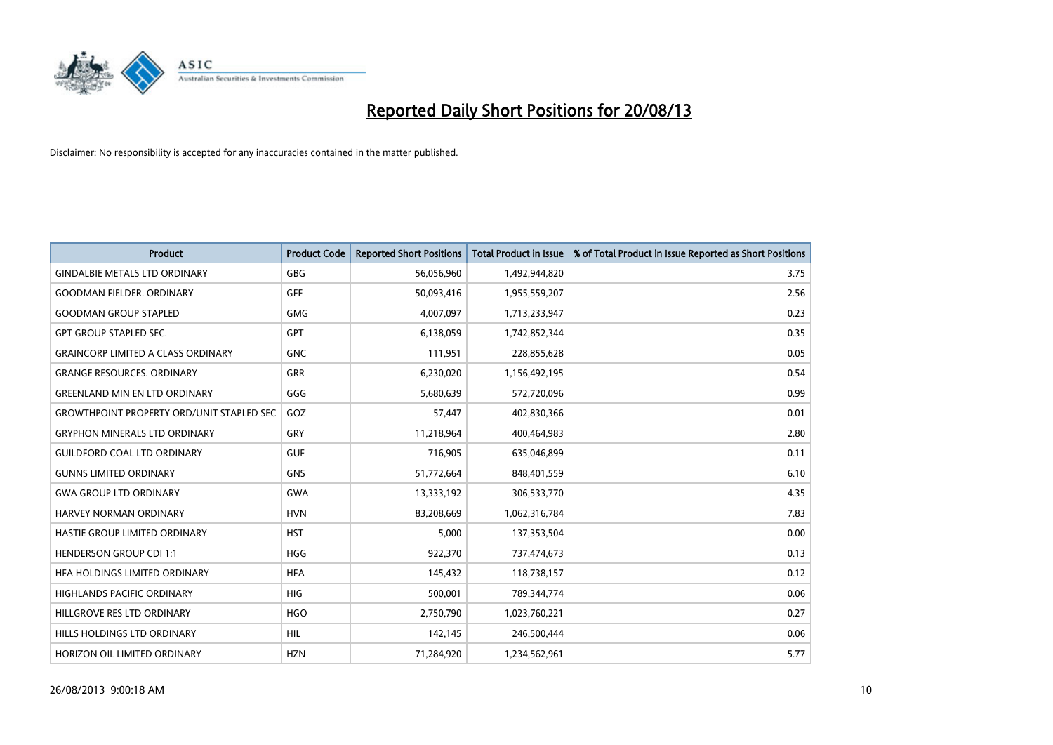

| <b>Product</b>                                   | <b>Product Code</b> | <b>Reported Short Positions</b> | <b>Total Product in Issue</b> | % of Total Product in Issue Reported as Short Positions |
|--------------------------------------------------|---------------------|---------------------------------|-------------------------------|---------------------------------------------------------|
| <b>GINDALBIE METALS LTD ORDINARY</b>             | <b>GBG</b>          | 56,056,960                      | 1,492,944,820                 | 3.75                                                    |
| <b>GOODMAN FIELDER, ORDINARY</b>                 | GFF                 | 50,093,416                      | 1,955,559,207                 | 2.56                                                    |
| <b>GOODMAN GROUP STAPLED</b>                     | <b>GMG</b>          | 4,007,097                       | 1,713,233,947                 | 0.23                                                    |
| <b>GPT GROUP STAPLED SEC.</b>                    | GPT                 | 6,138,059                       | 1,742,852,344                 | 0.35                                                    |
| <b>GRAINCORP LIMITED A CLASS ORDINARY</b>        | <b>GNC</b>          | 111,951                         | 228,855,628                   | 0.05                                                    |
| <b>GRANGE RESOURCES, ORDINARY</b>                | <b>GRR</b>          | 6,230,020                       | 1,156,492,195                 | 0.54                                                    |
| <b>GREENLAND MIN EN LTD ORDINARY</b>             | GGG                 | 5,680,639                       | 572,720,096                   | 0.99                                                    |
| <b>GROWTHPOINT PROPERTY ORD/UNIT STAPLED SEC</b> | GOZ                 | 57,447                          | 402,830,366                   | 0.01                                                    |
| <b>GRYPHON MINERALS LTD ORDINARY</b>             | GRY                 | 11,218,964                      | 400,464,983                   | 2.80                                                    |
| <b>GUILDFORD COAL LTD ORDINARY</b>               | <b>GUF</b>          | 716,905                         | 635,046,899                   | 0.11                                                    |
| <b>GUNNS LIMITED ORDINARY</b>                    | <b>GNS</b>          | 51,772,664                      | 848,401,559                   | 6.10                                                    |
| <b>GWA GROUP LTD ORDINARY</b>                    | <b>GWA</b>          | 13,333,192                      | 306,533,770                   | 4.35                                                    |
| HARVEY NORMAN ORDINARY                           | <b>HVN</b>          | 83,208,669                      | 1,062,316,784                 | 7.83                                                    |
| HASTIE GROUP LIMITED ORDINARY                    | <b>HST</b>          | 5,000                           | 137,353,504                   | 0.00                                                    |
| <b>HENDERSON GROUP CDI 1:1</b>                   | <b>HGG</b>          | 922,370                         | 737,474,673                   | 0.13                                                    |
| HFA HOLDINGS LIMITED ORDINARY                    | <b>HFA</b>          | 145,432                         | 118,738,157                   | 0.12                                                    |
| HIGHLANDS PACIFIC ORDINARY                       | <b>HIG</b>          | 500,001                         | 789,344,774                   | 0.06                                                    |
| HILLGROVE RES LTD ORDINARY                       | <b>HGO</b>          | 2,750,790                       | 1,023,760,221                 | 0.27                                                    |
| HILLS HOLDINGS LTD ORDINARY                      | <b>HIL</b>          | 142,145                         | 246,500,444                   | 0.06                                                    |
| HORIZON OIL LIMITED ORDINARY                     | <b>HZN</b>          | 71,284,920                      | 1,234,562,961                 | 5.77                                                    |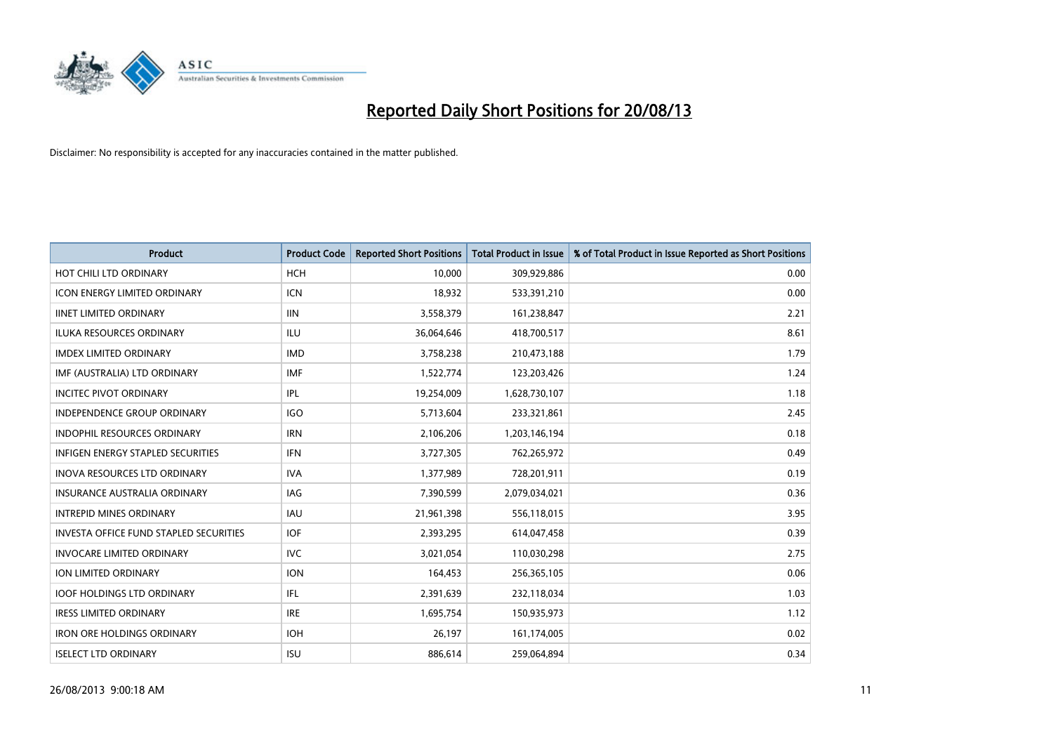

| <b>Product</b>                                | <b>Product Code</b> | <b>Reported Short Positions</b> | Total Product in Issue | % of Total Product in Issue Reported as Short Positions |
|-----------------------------------------------|---------------------|---------------------------------|------------------------|---------------------------------------------------------|
| HOT CHILI LTD ORDINARY                        | <b>HCH</b>          | 10,000                          | 309,929,886            | 0.00                                                    |
| <b>ICON ENERGY LIMITED ORDINARY</b>           | ICN                 | 18,932                          | 533,391,210            | 0.00                                                    |
| <b>IINET LIMITED ORDINARY</b>                 | <b>IIN</b>          | 3,558,379                       | 161,238,847            | 2.21                                                    |
| ILUKA RESOURCES ORDINARY                      | ILU                 | 36,064,646                      | 418,700,517            | 8.61                                                    |
| <b>IMDEX LIMITED ORDINARY</b>                 | <b>IMD</b>          | 3,758,238                       | 210,473,188            | 1.79                                                    |
| IMF (AUSTRALIA) LTD ORDINARY                  | <b>IMF</b>          | 1,522,774                       | 123,203,426            | 1.24                                                    |
| <b>INCITEC PIVOT ORDINARY</b>                 | IPL                 | 19,254,009                      | 1,628,730,107          | 1.18                                                    |
| <b>INDEPENDENCE GROUP ORDINARY</b>            | <b>IGO</b>          | 5,713,604                       | 233,321,861            | 2.45                                                    |
| <b>INDOPHIL RESOURCES ORDINARY</b>            | <b>IRN</b>          | 2,106,206                       | 1,203,146,194          | 0.18                                                    |
| <b>INFIGEN ENERGY STAPLED SECURITIES</b>      | <b>IFN</b>          | 3,727,305                       | 762,265,972            | 0.49                                                    |
| <b>INOVA RESOURCES LTD ORDINARY</b>           | <b>IVA</b>          | 1,377,989                       | 728,201,911            | 0.19                                                    |
| <b>INSURANCE AUSTRALIA ORDINARY</b>           | IAG                 | 7,390,599                       | 2,079,034,021          | 0.36                                                    |
| <b>INTREPID MINES ORDINARY</b>                | <b>IAU</b>          | 21,961,398                      | 556,118,015            | 3.95                                                    |
| <b>INVESTA OFFICE FUND STAPLED SECURITIES</b> | <b>IOF</b>          | 2,393,295                       | 614,047,458            | 0.39                                                    |
| <b>INVOCARE LIMITED ORDINARY</b>              | <b>IVC</b>          | 3,021,054                       | 110,030,298            | 2.75                                                    |
| <b>ION LIMITED ORDINARY</b>                   | <b>ION</b>          | 164,453                         | 256,365,105            | 0.06                                                    |
| <b>IOOF HOLDINGS LTD ORDINARY</b>             | IFL                 | 2,391,639                       | 232,118,034            | 1.03                                                    |
| <b>IRESS LIMITED ORDINARY</b>                 | <b>IRE</b>          | 1,695,754                       | 150,935,973            | 1.12                                                    |
| <b>IRON ORE HOLDINGS ORDINARY</b>             | <b>IOH</b>          | 26,197                          | 161,174,005            | 0.02                                                    |
| <b>ISELECT LTD ORDINARY</b>                   | <b>ISU</b>          | 886,614                         | 259,064,894            | 0.34                                                    |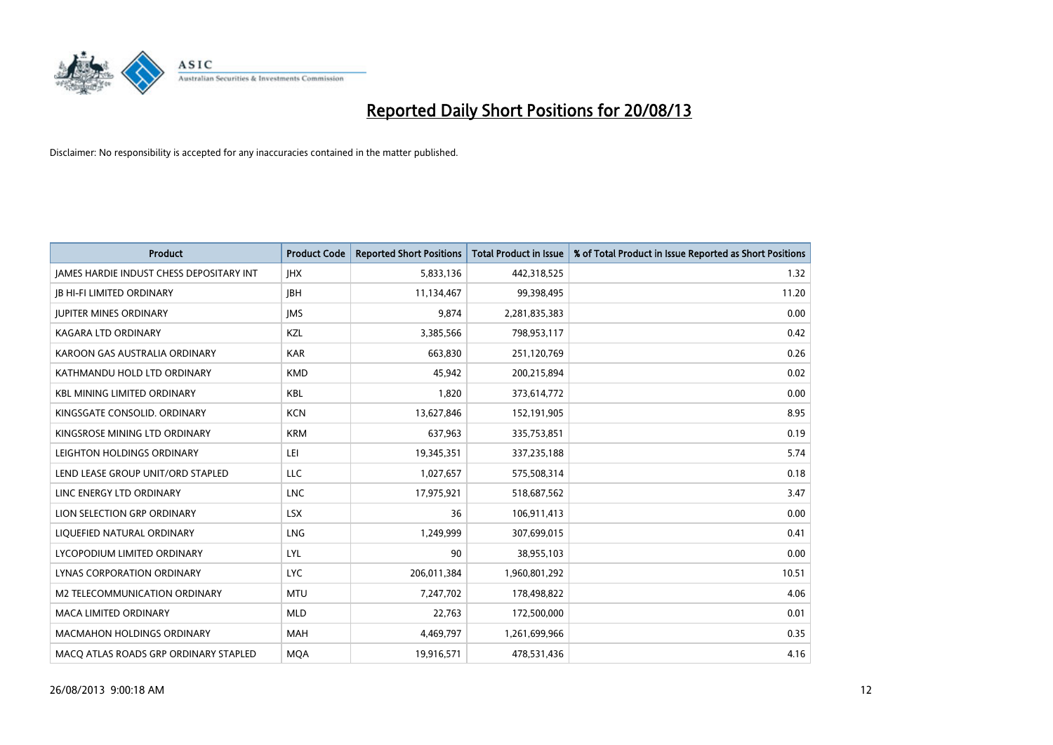

| <b>Product</b>                           | <b>Product Code</b> | <b>Reported Short Positions</b> | <b>Total Product in Issue</b> | % of Total Product in Issue Reported as Short Positions |
|------------------------------------------|---------------------|---------------------------------|-------------------------------|---------------------------------------------------------|
| JAMES HARDIE INDUST CHESS DEPOSITARY INT | <b>IHX</b>          | 5,833,136                       | 442,318,525                   | 1.32                                                    |
| <b>JB HI-FI LIMITED ORDINARY</b>         | <b>IBH</b>          | 11,134,467                      | 99,398,495                    | 11.20                                                   |
| <b>JUPITER MINES ORDINARY</b>            | <b>IMS</b>          | 9,874                           | 2,281,835,383                 | 0.00                                                    |
| KAGARA LTD ORDINARY                      | KZL                 | 3,385,566                       | 798,953,117                   | 0.42                                                    |
| KAROON GAS AUSTRALIA ORDINARY            | <b>KAR</b>          | 663.830                         | 251,120,769                   | 0.26                                                    |
| KATHMANDU HOLD LTD ORDINARY              | <b>KMD</b>          | 45,942                          | 200,215,894                   | 0.02                                                    |
| <b>KBL MINING LIMITED ORDINARY</b>       | <b>KBL</b>          | 1.820                           | 373,614,772                   | 0.00                                                    |
| KINGSGATE CONSOLID. ORDINARY             | <b>KCN</b>          | 13,627,846                      | 152,191,905                   | 8.95                                                    |
| KINGSROSE MINING LTD ORDINARY            | <b>KRM</b>          | 637,963                         | 335,753,851                   | 0.19                                                    |
| LEIGHTON HOLDINGS ORDINARY               | LEI                 | 19,345,351                      | 337,235,188                   | 5.74                                                    |
| LEND LEASE GROUP UNIT/ORD STAPLED        | LLC                 | 1,027,657                       | 575,508,314                   | 0.18                                                    |
| LINC ENERGY LTD ORDINARY                 | <b>LNC</b>          | 17,975,921                      | 518,687,562                   | 3.47                                                    |
| LION SELECTION GRP ORDINARY              | <b>LSX</b>          | 36                              | 106,911,413                   | 0.00                                                    |
| LIQUEFIED NATURAL ORDINARY               | <b>LNG</b>          | 1,249,999                       | 307,699,015                   | 0.41                                                    |
| LYCOPODIUM LIMITED ORDINARY              | LYL                 | 90                              | 38,955,103                    | 0.00                                                    |
| LYNAS CORPORATION ORDINARY               | <b>LYC</b>          | 206,011,384                     | 1,960,801,292                 | 10.51                                                   |
| <b>M2 TELECOMMUNICATION ORDINARY</b>     | <b>MTU</b>          | 7,247,702                       | 178,498,822                   | 4.06                                                    |
| <b>MACA LIMITED ORDINARY</b>             | <b>MLD</b>          | 22,763                          | 172,500,000                   | 0.01                                                    |
| <b>MACMAHON HOLDINGS ORDINARY</b>        | <b>MAH</b>          | 4,469,797                       | 1,261,699,966                 | 0.35                                                    |
| MACO ATLAS ROADS GRP ORDINARY STAPLED    | <b>MOA</b>          | 19.916.571                      | 478,531,436                   | 4.16                                                    |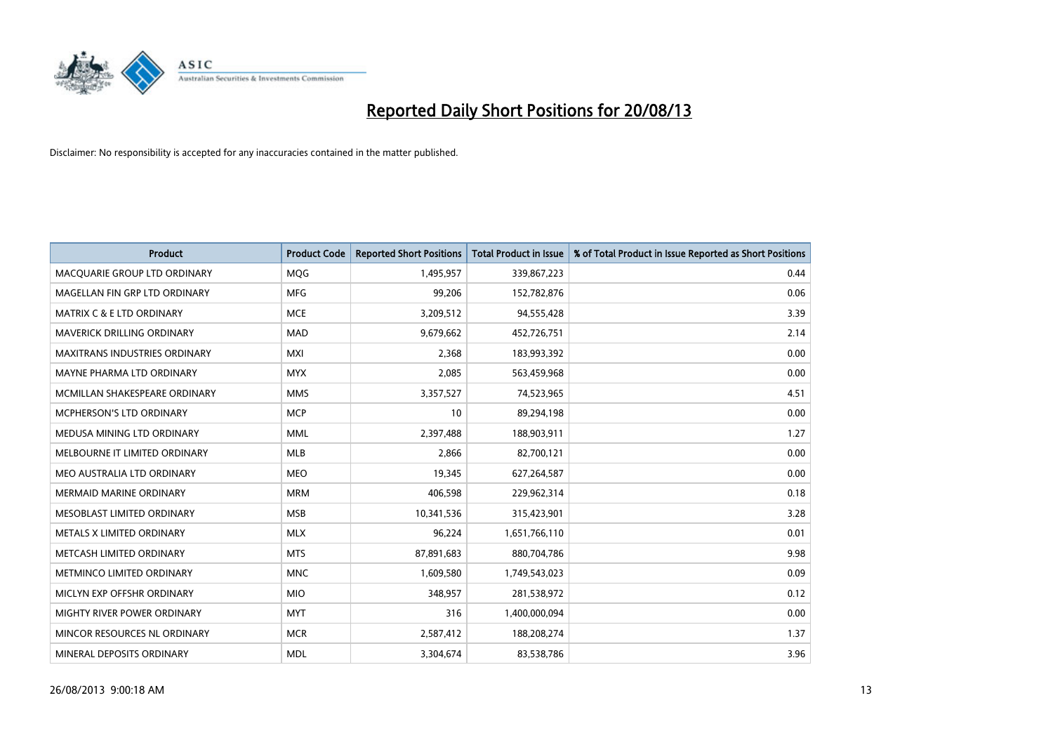

| Product                              | <b>Product Code</b> | <b>Reported Short Positions</b> | <b>Total Product in Issue</b> | % of Total Product in Issue Reported as Short Positions |
|--------------------------------------|---------------------|---------------------------------|-------------------------------|---------------------------------------------------------|
| MACQUARIE GROUP LTD ORDINARY         | <b>MOG</b>          | 1,495,957                       | 339,867,223                   | 0.44                                                    |
| MAGELLAN FIN GRP LTD ORDINARY        | <b>MFG</b>          | 99,206                          | 152,782,876                   | 0.06                                                    |
| <b>MATRIX C &amp; E LTD ORDINARY</b> | <b>MCE</b>          | 3,209,512                       | 94,555,428                    | 3.39                                                    |
| MAVERICK DRILLING ORDINARY           | <b>MAD</b>          | 9,679,662                       | 452,726,751                   | 2.14                                                    |
| <b>MAXITRANS INDUSTRIES ORDINARY</b> | <b>MXI</b>          | 2,368                           | 183,993,392                   | 0.00                                                    |
| MAYNE PHARMA LTD ORDINARY            | <b>MYX</b>          | 2,085                           | 563,459,968                   | 0.00                                                    |
| MCMILLAN SHAKESPEARE ORDINARY        | <b>MMS</b>          | 3,357,527                       | 74,523,965                    | 4.51                                                    |
| MCPHERSON'S LTD ORDINARY             | <b>MCP</b>          | 10                              | 89,294,198                    | 0.00                                                    |
| MEDUSA MINING LTD ORDINARY           | <b>MML</b>          | 2,397,488                       | 188,903,911                   | 1.27                                                    |
| MELBOURNE IT LIMITED ORDINARY        | MLB                 | 2,866                           | 82,700,121                    | 0.00                                                    |
| MEO AUSTRALIA LTD ORDINARY           | <b>MEO</b>          | 19,345                          | 627,264,587                   | 0.00                                                    |
| MERMAID MARINE ORDINARY              | <b>MRM</b>          | 406,598                         | 229,962,314                   | 0.18                                                    |
| MESOBLAST LIMITED ORDINARY           | <b>MSB</b>          | 10,341,536                      | 315,423,901                   | 3.28                                                    |
| METALS X LIMITED ORDINARY            | <b>MLX</b>          | 96,224                          | 1,651,766,110                 | 0.01                                                    |
| METCASH LIMITED ORDINARY             | <b>MTS</b>          | 87,891,683                      | 880,704,786                   | 9.98                                                    |
| METMINCO LIMITED ORDINARY            | <b>MNC</b>          | 1,609,580                       | 1,749,543,023                 | 0.09                                                    |
| MICLYN EXP OFFSHR ORDINARY           | <b>MIO</b>          | 348,957                         | 281,538,972                   | 0.12                                                    |
| MIGHTY RIVER POWER ORDINARY          | <b>MYT</b>          | 316                             | 1,400,000,094                 | 0.00                                                    |
| MINCOR RESOURCES NL ORDINARY         | <b>MCR</b>          | 2,587,412                       | 188,208,274                   | 1.37                                                    |
| MINERAL DEPOSITS ORDINARY            | <b>MDL</b>          | 3,304,674                       | 83,538,786                    | 3.96                                                    |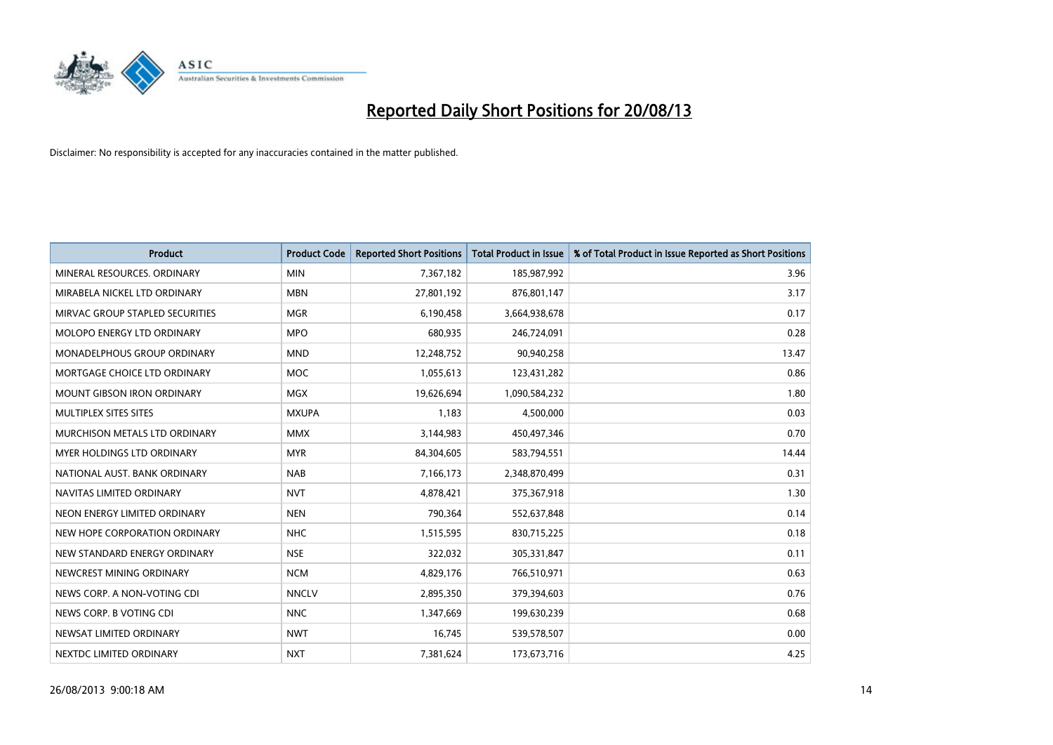

| <b>Product</b>                     | <b>Product Code</b> | <b>Reported Short Positions</b> | <b>Total Product in Issue</b> | % of Total Product in Issue Reported as Short Positions |
|------------------------------------|---------------------|---------------------------------|-------------------------------|---------------------------------------------------------|
| MINERAL RESOURCES, ORDINARY        | <b>MIN</b>          | 7,367,182                       | 185,987,992                   | 3.96                                                    |
| MIRABELA NICKEL LTD ORDINARY       | <b>MBN</b>          | 27,801,192                      | 876,801,147                   | 3.17                                                    |
| MIRVAC GROUP STAPLED SECURITIES    | <b>MGR</b>          | 6,190,458                       | 3,664,938,678                 | 0.17                                                    |
| MOLOPO ENERGY LTD ORDINARY         | <b>MPO</b>          | 680,935                         | 246,724,091                   | 0.28                                                    |
| <b>MONADELPHOUS GROUP ORDINARY</b> | <b>MND</b>          | 12,248,752                      | 90,940,258                    | 13.47                                                   |
| MORTGAGE CHOICE LTD ORDINARY       | MOC                 | 1,055,613                       | 123,431,282                   | 0.86                                                    |
| <b>MOUNT GIBSON IRON ORDINARY</b>  | <b>MGX</b>          | 19,626,694                      | 1,090,584,232                 | 1.80                                                    |
| MULTIPLEX SITES SITES              | <b>MXUPA</b>        | 1,183                           | 4,500,000                     | 0.03                                                    |
| MURCHISON METALS LTD ORDINARY      | <b>MMX</b>          | 3,144,983                       | 450,497,346                   | 0.70                                                    |
| <b>MYER HOLDINGS LTD ORDINARY</b>  | <b>MYR</b>          | 84,304,605                      | 583,794,551                   | 14.44                                                   |
| NATIONAL AUST, BANK ORDINARY       | <b>NAB</b>          | 7,166,173                       | 2,348,870,499                 | 0.31                                                    |
| NAVITAS LIMITED ORDINARY           | <b>NVT</b>          | 4,878,421                       | 375,367,918                   | 1.30                                                    |
| NEON ENERGY LIMITED ORDINARY       | <b>NEN</b>          | 790,364                         | 552,637,848                   | 0.14                                                    |
| NEW HOPE CORPORATION ORDINARY      | <b>NHC</b>          | 1,515,595                       | 830,715,225                   | 0.18                                                    |
| NEW STANDARD ENERGY ORDINARY       | <b>NSE</b>          | 322,032                         | 305,331,847                   | 0.11                                                    |
| NEWCREST MINING ORDINARY           | <b>NCM</b>          | 4,829,176                       | 766,510,971                   | 0.63                                                    |
| NEWS CORP. A NON-VOTING CDI        | <b>NNCLV</b>        | 2,895,350                       | 379,394,603                   | 0.76                                                    |
| NEWS CORP. B VOTING CDI            | <b>NNC</b>          | 1,347,669                       | 199,630,239                   | 0.68                                                    |
| NEWSAT LIMITED ORDINARY            | <b>NWT</b>          | 16,745                          | 539,578,507                   | 0.00                                                    |
| NEXTDC LIMITED ORDINARY            | <b>NXT</b>          | 7,381,624                       | 173,673,716                   | 4.25                                                    |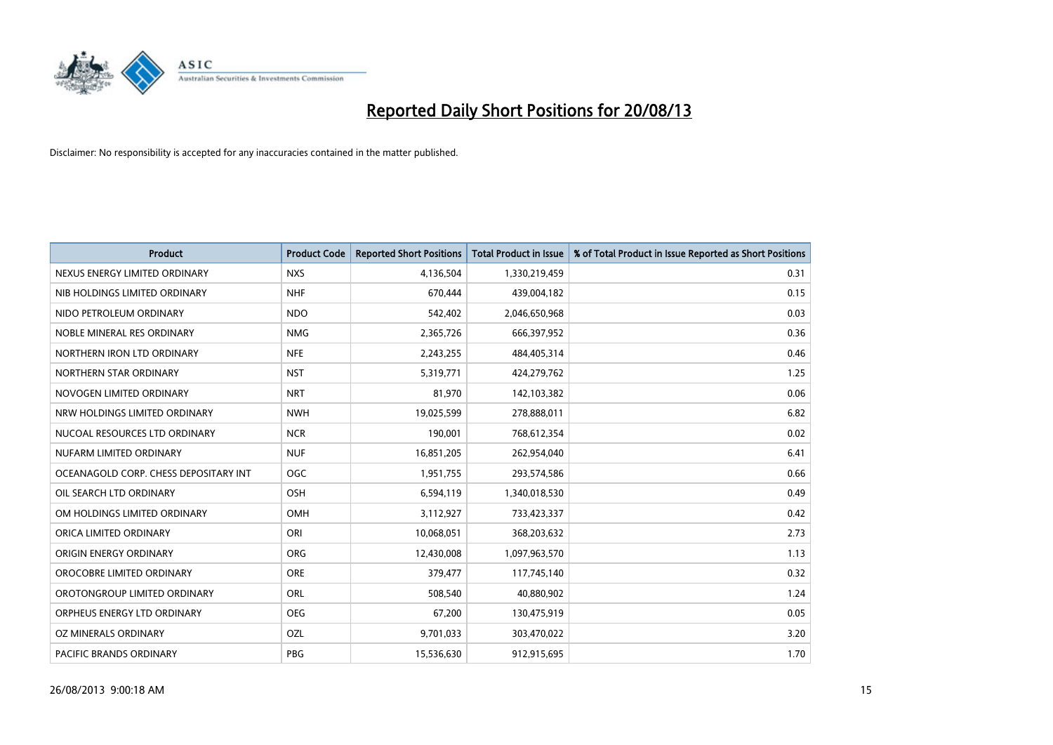

| <b>Product</b>                        | <b>Product Code</b> | <b>Reported Short Positions</b> | <b>Total Product in Issue</b> | % of Total Product in Issue Reported as Short Positions |
|---------------------------------------|---------------------|---------------------------------|-------------------------------|---------------------------------------------------------|
| NEXUS ENERGY LIMITED ORDINARY         | <b>NXS</b>          | 4,136,504                       | 1,330,219,459                 | 0.31                                                    |
| NIB HOLDINGS LIMITED ORDINARY         | <b>NHF</b>          | 670,444                         | 439,004,182                   | 0.15                                                    |
| NIDO PETROLEUM ORDINARY               | <b>NDO</b>          | 542,402                         | 2,046,650,968                 | 0.03                                                    |
| NOBLE MINERAL RES ORDINARY            | <b>NMG</b>          | 2,365,726                       | 666,397,952                   | 0.36                                                    |
| NORTHERN IRON LTD ORDINARY            | <b>NFE</b>          | 2,243,255                       | 484,405,314                   | 0.46                                                    |
| NORTHERN STAR ORDINARY                | <b>NST</b>          | 5,319,771                       | 424,279,762                   | 1.25                                                    |
| NOVOGEN LIMITED ORDINARY              | <b>NRT</b>          | 81,970                          | 142,103,382                   | 0.06                                                    |
| NRW HOLDINGS LIMITED ORDINARY         | <b>NWH</b>          | 19,025,599                      | 278,888,011                   | 6.82                                                    |
| NUCOAL RESOURCES LTD ORDINARY         | <b>NCR</b>          | 190,001                         | 768,612,354                   | 0.02                                                    |
| NUFARM LIMITED ORDINARY               | <b>NUF</b>          | 16,851,205                      | 262,954,040                   | 6.41                                                    |
| OCEANAGOLD CORP. CHESS DEPOSITARY INT | <b>OGC</b>          | 1,951,755                       | 293,574,586                   | 0.66                                                    |
| OIL SEARCH LTD ORDINARY               | OSH                 | 6,594,119                       | 1,340,018,530                 | 0.49                                                    |
| OM HOLDINGS LIMITED ORDINARY          | OMH                 | 3,112,927                       | 733,423,337                   | 0.42                                                    |
| ORICA LIMITED ORDINARY                | ORI                 | 10,068,051                      | 368,203,632                   | 2.73                                                    |
| ORIGIN ENERGY ORDINARY                | <b>ORG</b>          | 12,430,008                      | 1,097,963,570                 | 1.13                                                    |
| OROCOBRE LIMITED ORDINARY             | <b>ORE</b>          | 379,477                         | 117,745,140                   | 0.32                                                    |
| OROTONGROUP LIMITED ORDINARY          | ORL                 | 508,540                         | 40,880,902                    | 1.24                                                    |
| ORPHEUS ENERGY LTD ORDINARY           | <b>OEG</b>          | 67,200                          | 130,475,919                   | 0.05                                                    |
| OZ MINERALS ORDINARY                  | OZL                 | 9,701,033                       | 303,470,022                   | 3.20                                                    |
| PACIFIC BRANDS ORDINARY               | <b>PBG</b>          | 15,536,630                      | 912,915,695                   | 1.70                                                    |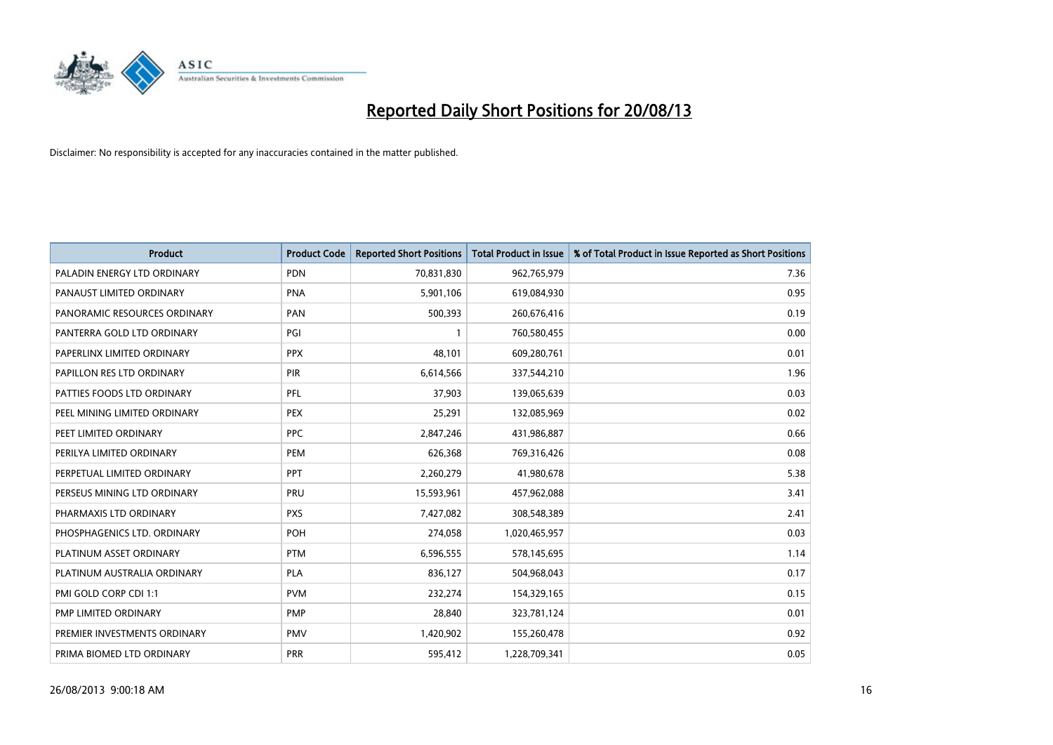

| <b>Product</b>               | <b>Product Code</b> | <b>Reported Short Positions</b> | <b>Total Product in Issue</b> | % of Total Product in Issue Reported as Short Positions |
|------------------------------|---------------------|---------------------------------|-------------------------------|---------------------------------------------------------|
| PALADIN ENERGY LTD ORDINARY  | <b>PDN</b>          | 70,831,830                      | 962,765,979                   | 7.36                                                    |
| PANAUST LIMITED ORDINARY     | <b>PNA</b>          | 5,901,106                       | 619,084,930                   | 0.95                                                    |
| PANORAMIC RESOURCES ORDINARY | PAN                 | 500,393                         | 260,676,416                   | 0.19                                                    |
| PANTERRA GOLD LTD ORDINARY   | PGI                 | $\mathbf{1}$                    | 760,580,455                   | 0.00                                                    |
| PAPERLINX LIMITED ORDINARY   | <b>PPX</b>          | 48,101                          | 609,280,761                   | 0.01                                                    |
| PAPILLON RES LTD ORDINARY    | PIR                 | 6,614,566                       | 337,544,210                   | 1.96                                                    |
| PATTIES FOODS LTD ORDINARY   | PFL                 | 37,903                          | 139,065,639                   | 0.03                                                    |
| PEEL MINING LIMITED ORDINARY | <b>PEX</b>          | 25,291                          | 132,085,969                   | 0.02                                                    |
| PEET LIMITED ORDINARY        | <b>PPC</b>          | 2,847,246                       | 431,986,887                   | 0.66                                                    |
| PERILYA LIMITED ORDINARY     | <b>PEM</b>          | 626,368                         | 769,316,426                   | 0.08                                                    |
| PERPETUAL LIMITED ORDINARY   | PPT                 | 2,260,279                       | 41,980,678                    | 5.38                                                    |
| PERSEUS MINING LTD ORDINARY  | PRU                 | 15,593,961                      | 457,962,088                   | 3.41                                                    |
| PHARMAXIS LTD ORDINARY       | <b>PXS</b>          | 7,427,082                       | 308,548,389                   | 2.41                                                    |
| PHOSPHAGENICS LTD. ORDINARY  | <b>POH</b>          | 274,058                         | 1,020,465,957                 | 0.03                                                    |
| PLATINUM ASSET ORDINARY      | <b>PTM</b>          | 6,596,555                       | 578,145,695                   | 1.14                                                    |
| PLATINUM AUSTRALIA ORDINARY  | <b>PLA</b>          | 836,127                         | 504,968,043                   | 0.17                                                    |
| PMI GOLD CORP CDI 1:1        | <b>PVM</b>          | 232,274                         | 154,329,165                   | 0.15                                                    |
| PMP LIMITED ORDINARY         | <b>PMP</b>          | 28,840                          | 323,781,124                   | 0.01                                                    |
| PREMIER INVESTMENTS ORDINARY | <b>PMV</b>          | 1,420,902                       | 155,260,478                   | 0.92                                                    |
| PRIMA BIOMED LTD ORDINARY    | <b>PRR</b>          | 595,412                         | 1,228,709,341                 | 0.05                                                    |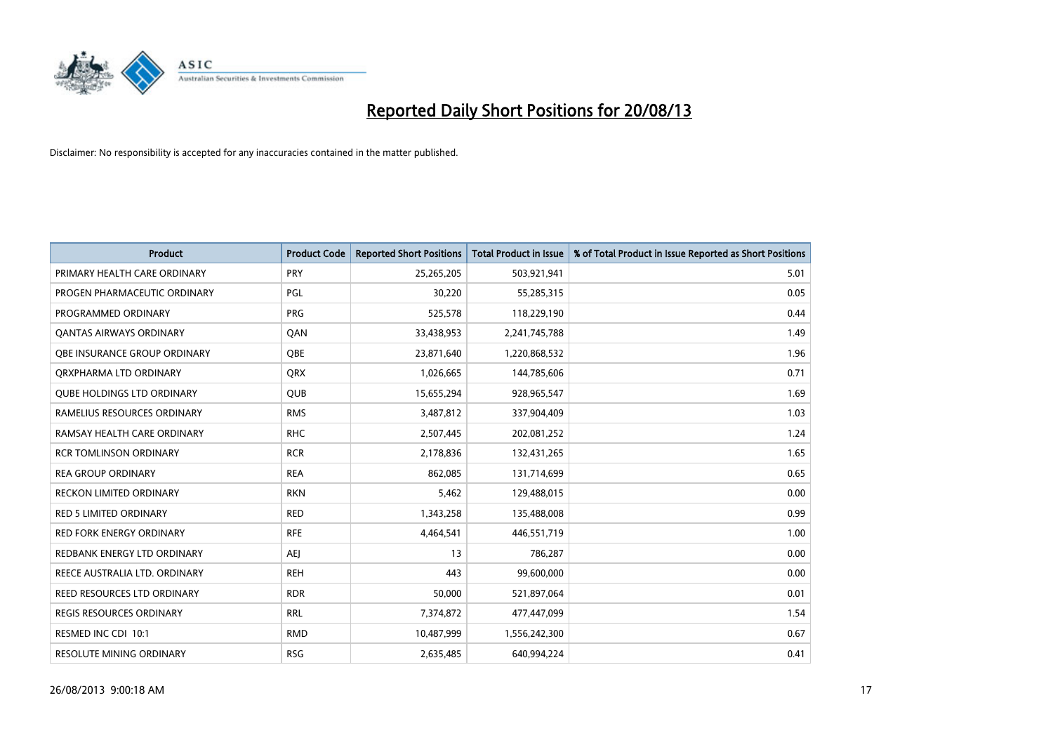

| <b>Product</b>                    | <b>Product Code</b> | <b>Reported Short Positions</b> | <b>Total Product in Issue</b> | % of Total Product in Issue Reported as Short Positions |
|-----------------------------------|---------------------|---------------------------------|-------------------------------|---------------------------------------------------------|
| PRIMARY HEALTH CARE ORDINARY      | <b>PRY</b>          | 25,265,205                      | 503,921,941                   | 5.01                                                    |
| PROGEN PHARMACEUTIC ORDINARY      | PGL                 | 30,220                          | 55,285,315                    | 0.05                                                    |
| PROGRAMMED ORDINARY               | <b>PRG</b>          | 525,578                         | 118,229,190                   | 0.44                                                    |
| <b>QANTAS AIRWAYS ORDINARY</b>    | QAN                 | 33,438,953                      | 2,241,745,788                 | 1.49                                                    |
| OBE INSURANCE GROUP ORDINARY      | <b>OBE</b>          | 23,871,640                      | 1,220,868,532                 | 1.96                                                    |
| ORXPHARMA LTD ORDINARY            | <b>QRX</b>          | 1,026,665                       | 144,785,606                   | 0.71                                                    |
| <b>QUBE HOLDINGS LTD ORDINARY</b> | <b>QUB</b>          | 15,655,294                      | 928,965,547                   | 1.69                                                    |
| RAMELIUS RESOURCES ORDINARY       | <b>RMS</b>          | 3,487,812                       | 337,904,409                   | 1.03                                                    |
| RAMSAY HEALTH CARE ORDINARY       | <b>RHC</b>          | 2,507,445                       | 202,081,252                   | 1.24                                                    |
| <b>RCR TOMLINSON ORDINARY</b>     | <b>RCR</b>          | 2,178,836                       | 132,431,265                   | 1.65                                                    |
| <b>REA GROUP ORDINARY</b>         | <b>REA</b>          | 862,085                         | 131,714,699                   | 0.65                                                    |
| <b>RECKON LIMITED ORDINARY</b>    | <b>RKN</b>          | 5,462                           | 129,488,015                   | 0.00                                                    |
| <b>RED 5 LIMITED ORDINARY</b>     | <b>RED</b>          | 1,343,258                       | 135,488,008                   | 0.99                                                    |
| <b>RED FORK ENERGY ORDINARY</b>   | <b>RFE</b>          | 4,464,541                       | 446,551,719                   | 1.00                                                    |
| REDBANK ENERGY LTD ORDINARY       | AEJ                 | 13                              | 786,287                       | 0.00                                                    |
| REECE AUSTRALIA LTD. ORDINARY     | <b>REH</b>          | 443                             | 99,600,000                    | 0.00                                                    |
| REED RESOURCES LTD ORDINARY       | <b>RDR</b>          | 50,000                          | 521,897,064                   | 0.01                                                    |
| <b>REGIS RESOURCES ORDINARY</b>   | <b>RRL</b>          | 7,374,872                       | 477,447,099                   | 1.54                                                    |
| RESMED INC CDI 10:1               | <b>RMD</b>          | 10,487,999                      | 1,556,242,300                 | 0.67                                                    |
| <b>RESOLUTE MINING ORDINARY</b>   | <b>RSG</b>          | 2,635,485                       | 640,994,224                   | 0.41                                                    |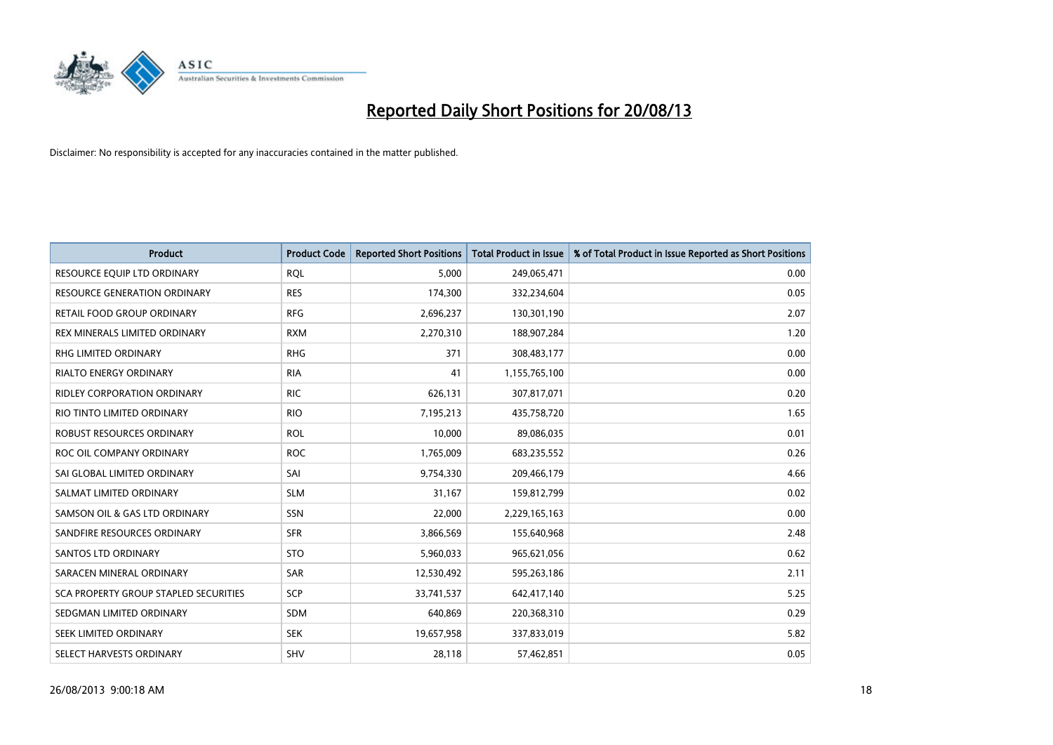

| <b>Product</b>                        | <b>Product Code</b> | <b>Reported Short Positions</b> | <b>Total Product in Issue</b> | % of Total Product in Issue Reported as Short Positions |
|---------------------------------------|---------------------|---------------------------------|-------------------------------|---------------------------------------------------------|
| RESOURCE EQUIP LTD ORDINARY           | <b>ROL</b>          | 5,000                           | 249,065,471                   | 0.00                                                    |
| <b>RESOURCE GENERATION ORDINARY</b>   | <b>RES</b>          | 174,300                         | 332,234,604                   | 0.05                                                    |
| RETAIL FOOD GROUP ORDINARY            | <b>RFG</b>          | 2,696,237                       | 130,301,190                   | 2.07                                                    |
| REX MINERALS LIMITED ORDINARY         | <b>RXM</b>          | 2,270,310                       | 188,907,284                   | 1.20                                                    |
| <b>RHG LIMITED ORDINARY</b>           | <b>RHG</b>          | 371                             | 308,483,177                   | 0.00                                                    |
| RIALTO ENERGY ORDINARY                | <b>RIA</b>          | 41                              | 1,155,765,100                 | 0.00                                                    |
| RIDLEY CORPORATION ORDINARY           | <b>RIC</b>          | 626,131                         | 307,817,071                   | 0.20                                                    |
| RIO TINTO LIMITED ORDINARY            | <b>RIO</b>          | 7,195,213                       | 435,758,720                   | 1.65                                                    |
| ROBUST RESOURCES ORDINARY             | <b>ROL</b>          | 10,000                          | 89,086,035                    | 0.01                                                    |
| ROC OIL COMPANY ORDINARY              | <b>ROC</b>          | 1,765,009                       | 683,235,552                   | 0.26                                                    |
| SAI GLOBAL LIMITED ORDINARY           | SAI                 | 9,754,330                       | 209,466,179                   | 4.66                                                    |
| SALMAT LIMITED ORDINARY               | <b>SLM</b>          | 31,167                          | 159,812,799                   | 0.02                                                    |
| SAMSON OIL & GAS LTD ORDINARY         | SSN                 | 22,000                          | 2,229,165,163                 | 0.00                                                    |
| SANDFIRE RESOURCES ORDINARY           | <b>SFR</b>          | 3,866,569                       | 155,640,968                   | 2.48                                                    |
| <b>SANTOS LTD ORDINARY</b>            | <b>STO</b>          | 5,960,033                       | 965,621,056                   | 0.62                                                    |
| SARACEN MINERAL ORDINARY              | <b>SAR</b>          | 12,530,492                      | 595,263,186                   | 2.11                                                    |
| SCA PROPERTY GROUP STAPLED SECURITIES | SCP                 | 33,741,537                      | 642,417,140                   | 5.25                                                    |
| SEDGMAN LIMITED ORDINARY              | <b>SDM</b>          | 640,869                         | 220,368,310                   | 0.29                                                    |
| SEEK LIMITED ORDINARY                 | <b>SEK</b>          | 19,657,958                      | 337,833,019                   | 5.82                                                    |
| SELECT HARVESTS ORDINARY              | <b>SHV</b>          | 28,118                          | 57,462,851                    | 0.05                                                    |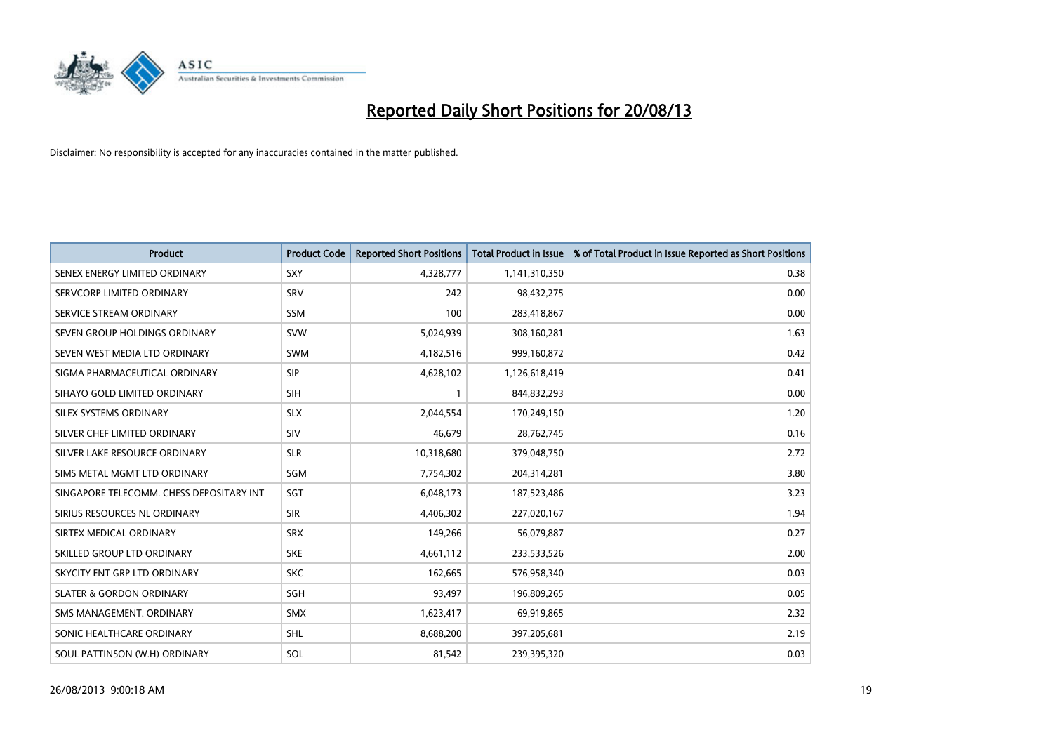

| <b>Product</b>                           | <b>Product Code</b> | <b>Reported Short Positions</b> | <b>Total Product in Issue</b> | % of Total Product in Issue Reported as Short Positions |
|------------------------------------------|---------------------|---------------------------------|-------------------------------|---------------------------------------------------------|
| SENEX ENERGY LIMITED ORDINARY            | <b>SXY</b>          | 4,328,777                       | 1,141,310,350                 | 0.38                                                    |
| SERVCORP LIMITED ORDINARY                | SRV                 | 242                             | 98,432,275                    | 0.00                                                    |
| SERVICE STREAM ORDINARY                  | <b>SSM</b>          | 100                             | 283,418,867                   | 0.00                                                    |
| SEVEN GROUP HOLDINGS ORDINARY            | <b>SVW</b>          | 5,024,939                       | 308,160,281                   | 1.63                                                    |
| SEVEN WEST MEDIA LTD ORDINARY            | <b>SWM</b>          | 4,182,516                       | 999,160,872                   | 0.42                                                    |
| SIGMA PHARMACEUTICAL ORDINARY            | <b>SIP</b>          | 4,628,102                       | 1,126,618,419                 | 0.41                                                    |
| SIHAYO GOLD LIMITED ORDINARY             | <b>SIH</b>          |                                 | 844,832,293                   | 0.00                                                    |
| SILEX SYSTEMS ORDINARY                   | <b>SLX</b>          | 2,044,554                       | 170,249,150                   | 1.20                                                    |
| SILVER CHEF LIMITED ORDINARY             | SIV                 | 46,679                          | 28,762,745                    | 0.16                                                    |
| SILVER LAKE RESOURCE ORDINARY            | <b>SLR</b>          | 10,318,680                      | 379,048,750                   | 2.72                                                    |
| SIMS METAL MGMT LTD ORDINARY             | SGM                 | 7,754,302                       | 204,314,281                   | 3.80                                                    |
| SINGAPORE TELECOMM. CHESS DEPOSITARY INT | SGT                 | 6,048,173                       | 187,523,486                   | 3.23                                                    |
| SIRIUS RESOURCES NL ORDINARY             | <b>SIR</b>          | 4,406,302                       | 227,020,167                   | 1.94                                                    |
| SIRTEX MEDICAL ORDINARY                  | <b>SRX</b>          | 149,266                         | 56,079,887                    | 0.27                                                    |
| SKILLED GROUP LTD ORDINARY               | <b>SKE</b>          | 4,661,112                       | 233,533,526                   | 2.00                                                    |
| SKYCITY ENT GRP LTD ORDINARY             | <b>SKC</b>          | 162,665                         | 576,958,340                   | 0.03                                                    |
| <b>SLATER &amp; GORDON ORDINARY</b>      | SGH                 | 93,497                          | 196,809,265                   | 0.05                                                    |
| SMS MANAGEMENT, ORDINARY                 | <b>SMX</b>          | 1,623,417                       | 69,919,865                    | 2.32                                                    |
| SONIC HEALTHCARE ORDINARY                | <b>SHL</b>          | 8,688,200                       | 397,205,681                   | 2.19                                                    |
| SOUL PATTINSON (W.H) ORDINARY            | SOL                 | 81,542                          | 239,395,320                   | 0.03                                                    |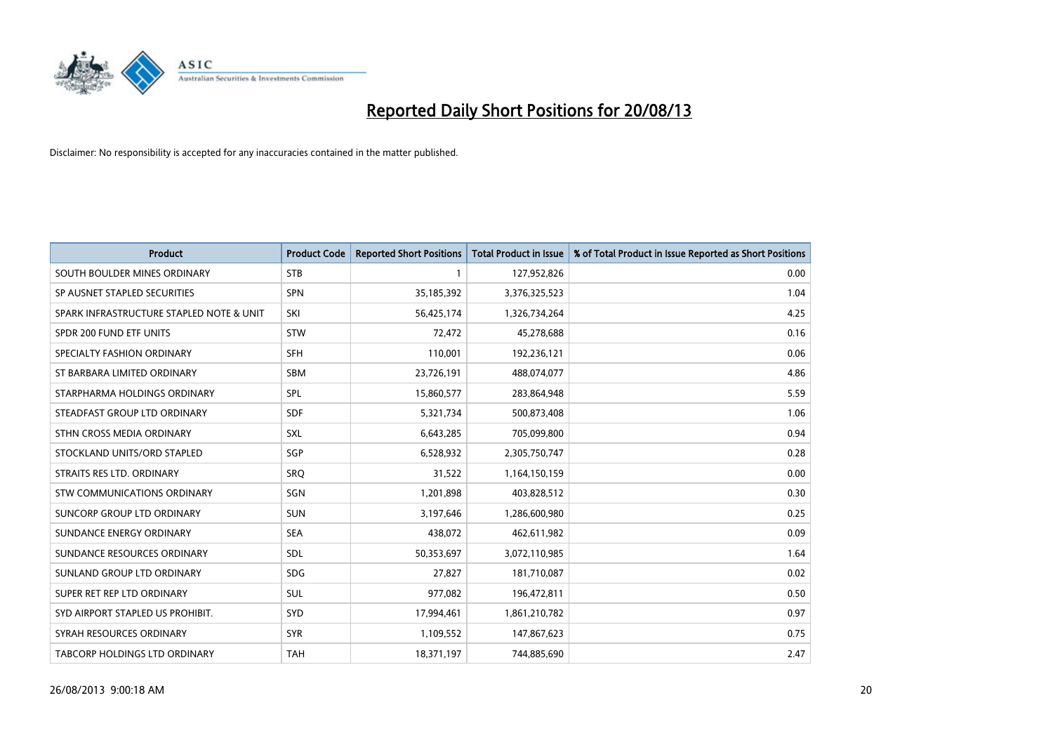

| <b>Product</b>                           | <b>Product Code</b> | <b>Reported Short Positions</b> | <b>Total Product in Issue</b> | % of Total Product in Issue Reported as Short Positions |
|------------------------------------------|---------------------|---------------------------------|-------------------------------|---------------------------------------------------------|
| SOUTH BOULDER MINES ORDINARY             | <b>STB</b>          | 1                               | 127,952,826                   | 0.00                                                    |
| SP AUSNET STAPLED SECURITIES             | <b>SPN</b>          | 35,185,392                      | 3,376,325,523                 | 1.04                                                    |
| SPARK INFRASTRUCTURE STAPLED NOTE & UNIT | SKI                 | 56,425,174                      | 1,326,734,264                 | 4.25                                                    |
| SPDR 200 FUND ETF UNITS                  | <b>STW</b>          | 72,472                          | 45,278,688                    | 0.16                                                    |
| SPECIALTY FASHION ORDINARY               | <b>SFH</b>          | 110,001                         | 192,236,121                   | 0.06                                                    |
| ST BARBARA LIMITED ORDINARY              | <b>SBM</b>          | 23,726,191                      | 488,074,077                   | 4.86                                                    |
| STARPHARMA HOLDINGS ORDINARY             | <b>SPL</b>          | 15,860,577                      | 283,864,948                   | 5.59                                                    |
| STEADFAST GROUP LTD ORDINARY             | <b>SDF</b>          | 5,321,734                       | 500,873,408                   | 1.06                                                    |
| STHN CROSS MEDIA ORDINARY                | SXL                 | 6,643,285                       | 705,099,800                   | 0.94                                                    |
| STOCKLAND UNITS/ORD STAPLED              | SGP                 | 6,528,932                       | 2,305,750,747                 | 0.28                                                    |
| STRAITS RES LTD. ORDINARY                | SRO                 | 31,522                          | 1,164,150,159                 | 0.00                                                    |
| STW COMMUNICATIONS ORDINARY              | SGN                 | 1,201,898                       | 403,828,512                   | 0.30                                                    |
| SUNCORP GROUP LTD ORDINARY               | <b>SUN</b>          | 3,197,646                       | 1,286,600,980                 | 0.25                                                    |
| SUNDANCE ENERGY ORDINARY                 | <b>SEA</b>          | 438,072                         | 462,611,982                   | 0.09                                                    |
| SUNDANCE RESOURCES ORDINARY              | SDL                 | 50,353,697                      | 3,072,110,985                 | 1.64                                                    |
| SUNLAND GROUP LTD ORDINARY               | <b>SDG</b>          | 27,827                          | 181,710,087                   | 0.02                                                    |
| SUPER RET REP LTD ORDINARY               | SUL                 | 977,082                         | 196,472,811                   | 0.50                                                    |
| SYD AIRPORT STAPLED US PROHIBIT.         | SYD                 | 17,994,461                      | 1,861,210,782                 | 0.97                                                    |
| SYRAH RESOURCES ORDINARY                 | <b>SYR</b>          | 1,109,552                       | 147,867,623                   | 0.75                                                    |
| <b>TABCORP HOLDINGS LTD ORDINARY</b>     | TAH                 | 18,371,197                      | 744,885,690                   | 2.47                                                    |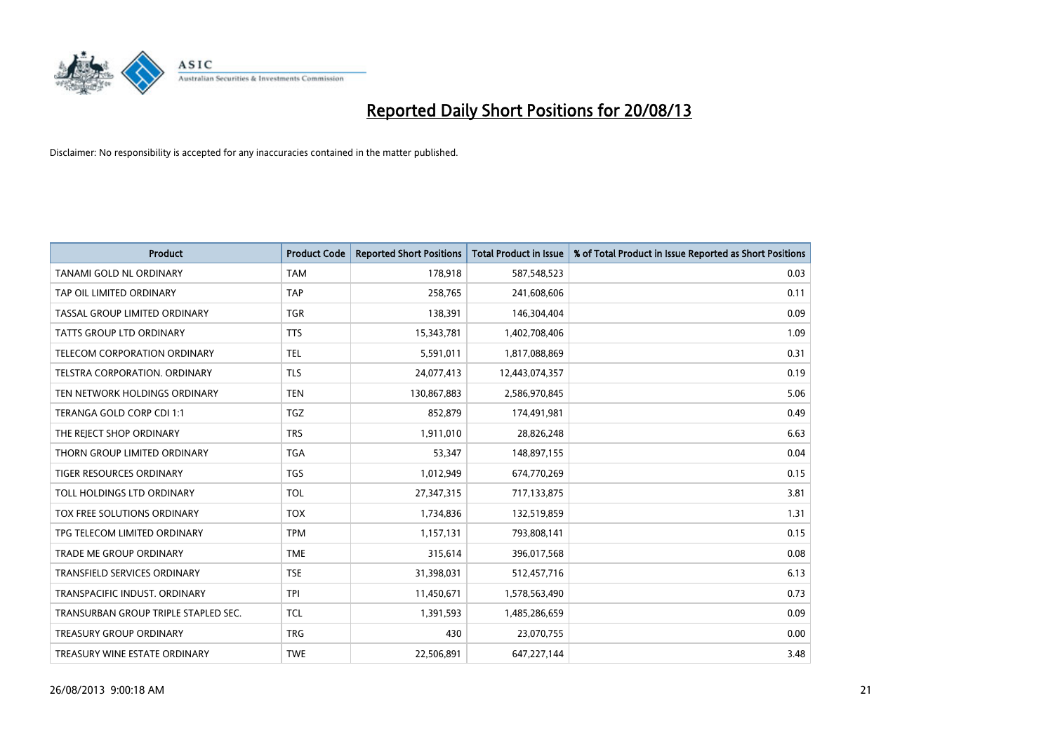

| <b>Product</b>                       | <b>Product Code</b> | <b>Reported Short Positions</b> | <b>Total Product in Issue</b> | % of Total Product in Issue Reported as Short Positions |
|--------------------------------------|---------------------|---------------------------------|-------------------------------|---------------------------------------------------------|
| TANAMI GOLD NL ORDINARY              | <b>TAM</b>          | 178,918                         | 587,548,523                   | 0.03                                                    |
| TAP OIL LIMITED ORDINARY             | <b>TAP</b>          | 258,765                         | 241,608,606                   | 0.11                                                    |
| TASSAL GROUP LIMITED ORDINARY        | <b>TGR</b>          | 138,391                         | 146,304,404                   | 0.09                                                    |
| <b>TATTS GROUP LTD ORDINARY</b>      | <b>TTS</b>          | 15,343,781                      | 1,402,708,406                 | 1.09                                                    |
| TELECOM CORPORATION ORDINARY         | <b>TEL</b>          | 5,591,011                       | 1,817,088,869                 | 0.31                                                    |
| TELSTRA CORPORATION, ORDINARY        | <b>TLS</b>          | 24,077,413                      | 12,443,074,357                | 0.19                                                    |
| TEN NETWORK HOLDINGS ORDINARY        | <b>TEN</b>          | 130,867,883                     | 2,586,970,845                 | 5.06                                                    |
| TERANGA GOLD CORP CDI 1:1            | <b>TGZ</b>          | 852,879                         | 174,491,981                   | 0.49                                                    |
| THE REJECT SHOP ORDINARY             | <b>TRS</b>          | 1,911,010                       | 28,826,248                    | 6.63                                                    |
| THORN GROUP LIMITED ORDINARY         | <b>TGA</b>          | 53,347                          | 148,897,155                   | 0.04                                                    |
| TIGER RESOURCES ORDINARY             | <b>TGS</b>          | 1,012,949                       | 674,770,269                   | 0.15                                                    |
| TOLL HOLDINGS LTD ORDINARY           | <b>TOL</b>          | 27,347,315                      | 717,133,875                   | 3.81                                                    |
| TOX FREE SOLUTIONS ORDINARY          | <b>TOX</b>          | 1,734,836                       | 132,519,859                   | 1.31                                                    |
| TPG TELECOM LIMITED ORDINARY         | <b>TPM</b>          | 1,157,131                       | 793,808,141                   | 0.15                                                    |
| <b>TRADE ME GROUP ORDINARY</b>       | <b>TME</b>          | 315,614                         | 396,017,568                   | 0.08                                                    |
| TRANSFIELD SERVICES ORDINARY         | <b>TSE</b>          | 31,398,031                      | 512,457,716                   | 6.13                                                    |
| TRANSPACIFIC INDUST. ORDINARY        | <b>TPI</b>          | 11,450,671                      | 1,578,563,490                 | 0.73                                                    |
| TRANSURBAN GROUP TRIPLE STAPLED SEC. | <b>TCL</b>          | 1,391,593                       | 1,485,286,659                 | 0.09                                                    |
| <b>TREASURY GROUP ORDINARY</b>       | <b>TRG</b>          | 430                             | 23,070,755                    | 0.00                                                    |
| TREASURY WINE ESTATE ORDINARY        | <b>TWE</b>          | 22,506,891                      | 647,227,144                   | 3.48                                                    |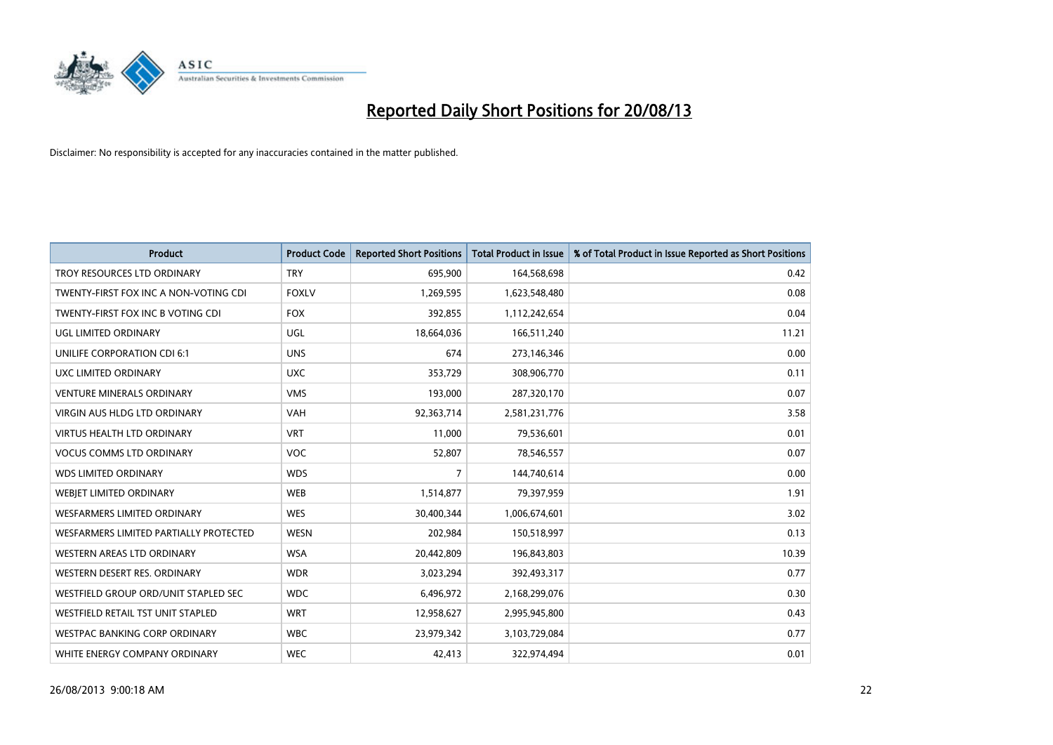

| <b>Product</b>                         | <b>Product Code</b> | <b>Reported Short Positions</b> | <b>Total Product in Issue</b> | % of Total Product in Issue Reported as Short Positions |
|----------------------------------------|---------------------|---------------------------------|-------------------------------|---------------------------------------------------------|
| TROY RESOURCES LTD ORDINARY            | <b>TRY</b>          | 695,900                         | 164,568,698                   | 0.42                                                    |
| TWENTY-FIRST FOX INC A NON-VOTING CDI  | <b>FOXLV</b>        | 1,269,595                       | 1,623,548,480                 | 0.08                                                    |
| TWENTY-FIRST FOX INC B VOTING CDI      | <b>FOX</b>          | 392,855                         | 1,112,242,654                 | 0.04                                                    |
| <b>UGL LIMITED ORDINARY</b>            | UGL                 | 18,664,036                      | 166,511,240                   | 11.21                                                   |
| UNILIFE CORPORATION CDI 6:1            | <b>UNS</b>          | 674                             | 273,146,346                   | 0.00                                                    |
| UXC LIMITED ORDINARY                   | <b>UXC</b>          | 353,729                         | 308,906,770                   | 0.11                                                    |
| <b>VENTURE MINERALS ORDINARY</b>       | <b>VMS</b>          | 193,000                         | 287,320,170                   | 0.07                                                    |
| <b>VIRGIN AUS HLDG LTD ORDINARY</b>    | <b>VAH</b>          | 92,363,714                      | 2,581,231,776                 | 3.58                                                    |
| <b>VIRTUS HEALTH LTD ORDINARY</b>      | <b>VRT</b>          | 11,000                          | 79,536,601                    | 0.01                                                    |
| <b>VOCUS COMMS LTD ORDINARY</b>        | <b>VOC</b>          | 52,807                          | 78,546,557                    | 0.07                                                    |
| <b>WDS LIMITED ORDINARY</b>            | <b>WDS</b>          | 7                               | 144,740,614                   | 0.00                                                    |
| WEBIET LIMITED ORDINARY                | <b>WEB</b>          | 1,514,877                       | 79,397,959                    | 1.91                                                    |
| <b>WESFARMERS LIMITED ORDINARY</b>     | <b>WES</b>          | 30,400,344                      | 1,006,674,601                 | 3.02                                                    |
| WESFARMERS LIMITED PARTIALLY PROTECTED | <b>WESN</b>         | 202,984                         | 150,518,997                   | 0.13                                                    |
| WESTERN AREAS LTD ORDINARY             | <b>WSA</b>          | 20,442,809                      | 196,843,803                   | 10.39                                                   |
| WESTERN DESERT RES. ORDINARY           | <b>WDR</b>          | 3,023,294                       | 392,493,317                   | 0.77                                                    |
| WESTFIELD GROUP ORD/UNIT STAPLED SEC   | <b>WDC</b>          | 6,496,972                       | 2,168,299,076                 | 0.30                                                    |
| WESTFIELD RETAIL TST UNIT STAPLED      | <b>WRT</b>          | 12,958,627                      | 2,995,945,800                 | 0.43                                                    |
| <b>WESTPAC BANKING CORP ORDINARY</b>   | <b>WBC</b>          | 23,979,342                      | 3,103,729,084                 | 0.77                                                    |
| WHITE ENERGY COMPANY ORDINARY          | <b>WEC</b>          | 42,413                          | 322,974,494                   | 0.01                                                    |